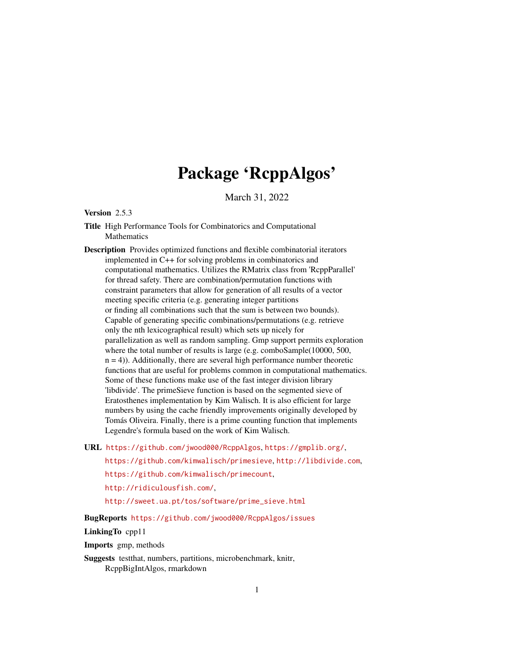# Package 'RcppAlgos'

March 31, 2022

# <span id="page-0-0"></span>Version 2.5.3

Title High Performance Tools for Combinatorics and Computational Mathematics

Description Provides optimized functions and flexible combinatorial iterators implemented in C++ for solving problems in combinatorics and computational mathematics. Utilizes the RMatrix class from 'RcppParallel' for thread safety. There are combination/permutation functions with constraint parameters that allow for generation of all results of a vector meeting specific criteria (e.g. generating integer partitions or finding all combinations such that the sum is between two bounds). Capable of generating specific combinations/permutations (e.g. retrieve only the nth lexicographical result) which sets up nicely for parallelization as well as random sampling. Gmp support permits exploration where the total number of results is large (e.g. comboSample(10000, 500,  $n = 4$ ). Additionally, there are several high performance number theoretic functions that are useful for problems common in computational mathematics. Some of these functions make use of the fast integer division library 'libdivide'. The primeSieve function is based on the segmented sieve of Eratosthenes implementation by Kim Walisch. It is also efficient for large numbers by using the cache friendly improvements originally developed by Tomás Oliveira. Finally, there is a prime counting function that implements Legendre's formula based on the work of Kim Walisch.

URL <https://github.com/jwood000/RcppAlgos>, <https://gmplib.org/>,

<https://github.com/kimwalisch/primesieve>, <http://libdivide.com>, <https://github.com/kimwalisch/primecount>, <http://ridiculousfish.com/>,

[http://sweet.ua.pt/tos/software/prime\\_sieve.html](http://sweet.ua.pt/tos/software/prime_sieve.html)

BugReports <https://github.com/jwood000/RcppAlgos/issues>

# LinkingTo cpp11

Imports gmp, methods

Suggests testthat, numbers, partitions, microbenchmark, knitr, RcppBigIntAlgos, rmarkdown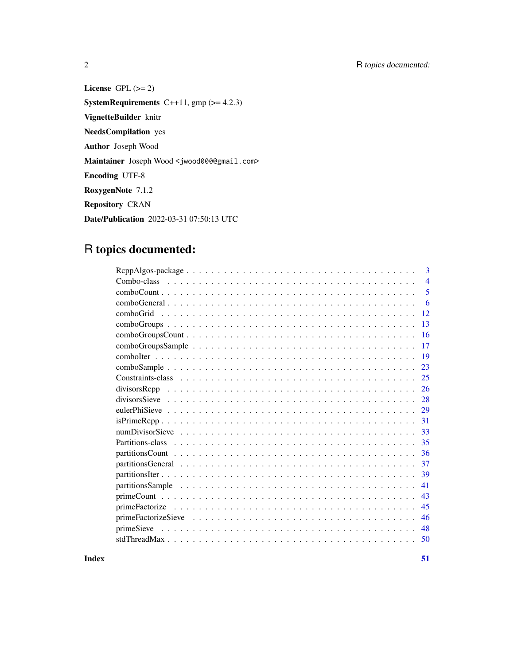2 R topics documented:

License GPL  $(>= 2)$ **SystemRequirements** C++11,  $gmp (= 4.2.3)$ VignetteBuilder knitr NeedsCompilation yes Author Joseph Wood Maintainer Joseph Wood <jwood000@gmail.com> Encoding UTF-8 RoxygenNote 7.1.2 Repository CRAN Date/Publication 2022-03-31 07:50:13 UTC

# R topics documented:

|               | 3              |
|---------------|----------------|
| Combo-class   | $\overline{4}$ |
|               | 5              |
|               | 6              |
|               | 12             |
|               | 13             |
|               | 16             |
|               | 17             |
|               | 19             |
|               | 23             |
|               | 25             |
| divisorsRepp  | 26             |
| divisorsSieve | 28             |
|               | 29             |
|               | 31             |
|               | 33             |
|               | 35             |
|               | 36             |
|               | 37             |
|               | 39             |
|               | 41             |
|               | 43             |
|               | 45             |
|               | 46             |
|               | 48             |
|               | 50             |
|               |                |

**Index** [51](#page-50-0)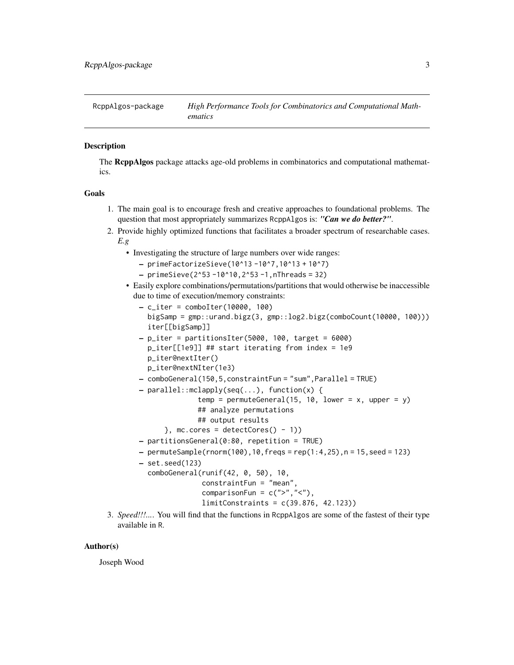<span id="page-2-0"></span>

The RcppAlgos package attacks age-old problems in combinatorics and computational mathematics.

# Goals

- 1. The main goal is to encourage fresh and creative approaches to foundational problems. The question that most appropriately summarizes RcppAlgos is: *"Can we do better?"*.
- 2. Provide highly optimized functions that facilitates a broader spectrum of researchable cases. *E.g*
	- Investigating the structure of large numbers over wide ranges:
		- primeFactorizeSieve(10^13 -10^7,10^13 + 10^7)
		- $-$  primeSieve(2^53 -10^10,2^53 -1,nThreads = 32)
	- Easily explore combinations/permutations/partitions that would otherwise be inaccessible due to time of execution/memory constraints:
		- $-$  c\_iter = comboIter(10000, 100) bigSamp = gmp::urand.bigz(3, gmp::log2.bigz(comboCount(10000, 100))) iter[[bigSamp]]  $-p$ \_iter = partitionsIter(5000, 100, target = 6000)
		- p\_iter[[1e9]] ## start iterating from index = 1e9 p\_iter@nextIter()
			- p\_iter@nextNIter(1e3)
		- comboGeneral(150,5,constraintFun = "sum",Parallel = TRUE)
		- parallel::mclapply(seq(...), function(x) {
			- temp = permuteGeneral(15, 10, lower =  $x$ , upper =  $y$ ) ## analyze permutations
				- ## output results
			- $},$  mc.cores = detectCores() 1))
		- partitionsGeneral(0:80, repetition = TRUE)
		- $-$  permuteSample(rnorm(100),10,freqs = rep(1:4,25), n = 15, seed = 123)
		- set.seed(123)

```
comboGeneral(runif(42, 0, 50), 10,
             constraintFun = "mean",
             comparisonFun = c(">", "<"),
             limitConstraints = c(39.876, 42.123))
```
3. *Speed!!!...*. You will find that the functions in RcppAlgos are some of the fastest of their type available in R.

#### Author(s)

Joseph Wood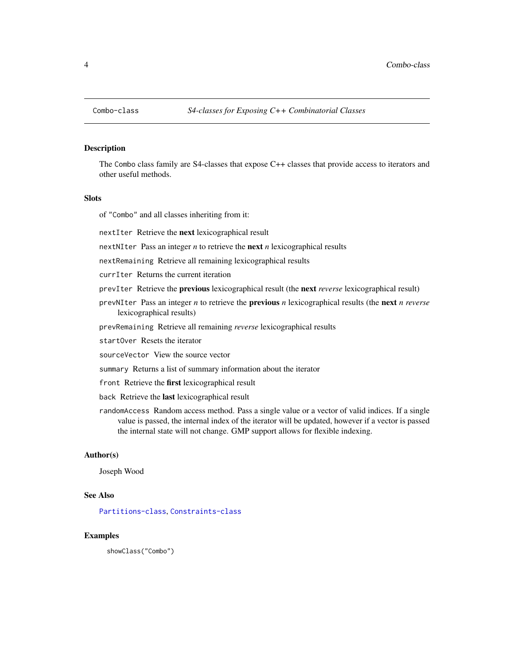<span id="page-3-1"></span><span id="page-3-0"></span>

The Combo class family are S4-classes that expose C++ classes that provide access to iterators and other useful methods.

# **Slots**

of "Combo" and all classes inheriting from it:

nextIter Retrieve the next lexicographical result

nextNIter Pass an integer *n* to retrieve the next *n* lexicographical results

nextRemaining Retrieve all remaining lexicographical results

currIter Returns the current iteration

- prevIter Retrieve the previous lexicographical result (the next *reverse* lexicographical result)
- prevNIter Pass an integer *n* to retrieve the previous *n* lexicographical results (the next *n reverse* lexicographical results)
- prevRemaining Retrieve all remaining *reverse* lexicographical results

startOver Resets the iterator

sourceVector View the source vector

summary Returns a list of summary information about the iterator

- front Retrieve the first lexicographical result
- back Retrieve the last lexicographical result
- randomAccess Random access method. Pass a single value or a vector of valid indices. If a single value is passed, the internal index of the iterator will be updated, however if a vector is passed the internal state will not change. GMP support allows for flexible indexing.

# Author(s)

Joseph Wood

# See Also

[Partitions-class](#page-34-1), [Constraints-class](#page-24-1)

#### Examples

showClass("Combo")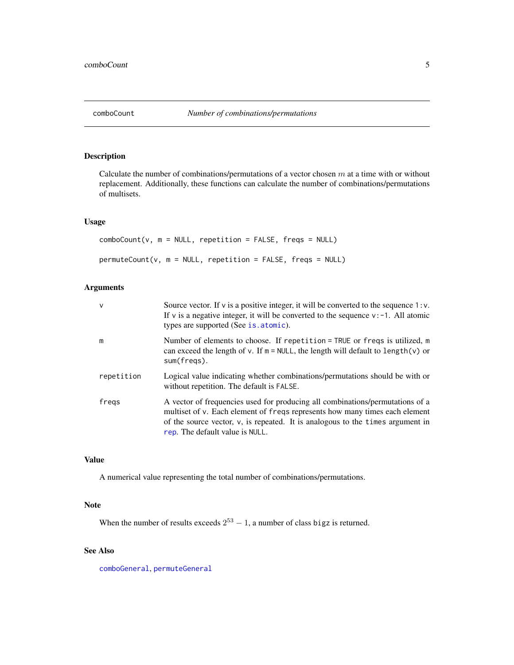<span id="page-4-0"></span>

Calculate the number of combinations/permutations of a vector chosen  $m$  at a time with or without replacement. Additionally, these functions can calculate the number of combinations/permutations of multisets.

# Usage

comboCount(v, m = NULL, repetition = FALSE, freqs = NULL)  $permuteCount(v, m = NULL, repetition = FALSE, freqs = NULL)$ 

# Arguments

| v          | Source vector. If $v$ is a positive integer, it will be converted to the sequence 1: $v$ .<br>If v is a negative integer, it will be converted to the sequence $v: -1$ . All atomic<br>types are supported (See is. atomic).                                                      |
|------------|-----------------------------------------------------------------------------------------------------------------------------------------------------------------------------------------------------------------------------------------------------------------------------------|
| m          | Number of elements to choose. If repetition = TRUE or freqs is utilized, $m$<br>can exceed the length of $v$ . If $m = NULL$ , the length will default to length(v) or<br>sum(fregs).                                                                                             |
| repetition | Logical value indicating whether combinations/permutations should be with or<br>without repetition. The default is FALSE.                                                                                                                                                         |
| fregs      | A vector of frequencies used for producing all combinations/permutations of a<br>multiset of v. Each element of freqs represents how many times each element<br>of the source vector, v, is repeated. It is analogous to the times argument in<br>rep. The default value is NULL. |

# Value

A numerical value representing the total number of combinations/permutations.

#### Note

When the number of results exceeds  $2^{53} - 1$ , a number of class bigz is returned.

# See Also

[comboGeneral](#page-5-1), [permuteGeneral](#page-5-2)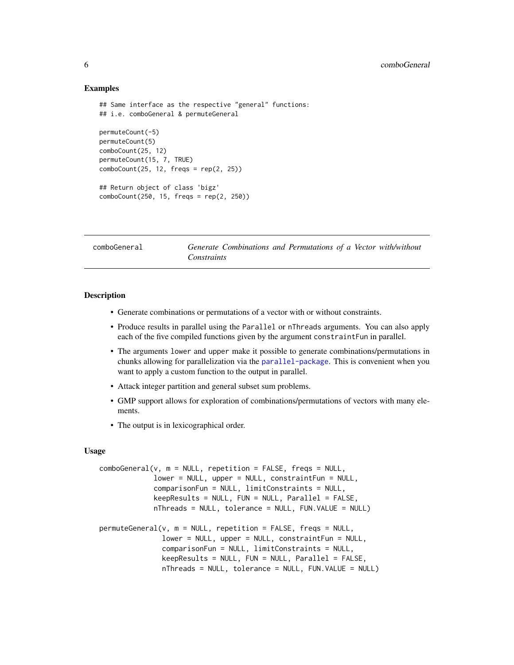#### Examples

```
## Same interface as the respective "general" functions:
## i.e. comboGeneral & permuteGeneral
permuteCount(-5)
permuteCount(5)
comboCount(25, 12)
permuteCount(15, 7, TRUE)
comboCount(25, 12, freqs = rep(2, 25))
## Return object of class 'bigz'
comboCount(250, 15, freqs = rep(2, 250))
```
<span id="page-5-1"></span>comboGeneral *Generate Combinations and Permutations of a Vector with/without Constraints*

# <span id="page-5-2"></span>Description

- Generate combinations or permutations of a vector with or without constraints.
- Produce results in parallel using the Parallel or nThreads arguments. You can also apply each of the five compiled functions given by the argument constraintFun in parallel.
- The arguments lower and upper make it possible to generate combinations/permutations in chunks allowing for parallelization via the [parallel-package](#page-0-0). This is convenient when you want to apply a custom function to the output in parallel.
- Attack integer partition and general subset sum problems.
- GMP support allows for exploration of combinations/permutations of vectors with many elements.
- The output is in lexicographical order.

#### Usage

```
comboGeneral(v, m = NULL, repetition = FALSE, freqs = NULL,lower = NULL, upper = NULL, constraintFun = NULL,
             comparisonFun = NULL, limitConstraints = NULL,
             keepResults = NULL, FUN = NULL, Parallel = FALSE,
             nThreads = NULL, tolerance = NULL, FUN.VALUE = NULL)
permuteGeneral(v, m = NULL, repetition = FALSE, freqs = NULL,
               lower = NULL, upper = NULL, constraintFun = NULL,
               comparisonFun = NULL, limitConstraints = NULL,
               keepResults = NULL, FUN = NULL, Parallel = FALSE,
               nThreads = NULL, tolerance = NULL, FUN.VALUE = NULL)
```
<span id="page-5-0"></span>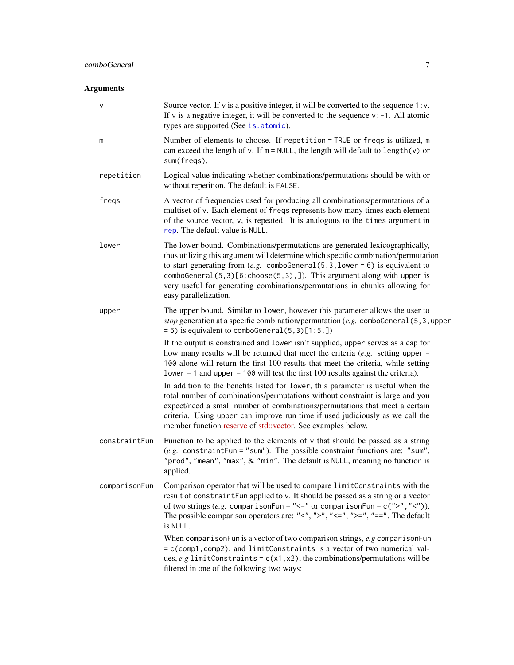# <span id="page-6-0"></span>Arguments

| v             | Source vector. If $v$ is a positive integer, it will be converted to the sequence $1 : v$ .<br>If v is a negative integer, it will be converted to the sequence $v: -1$ . All atomic<br>types are supported (See is. atomic).                                                                                                                                                                                                         |
|---------------|---------------------------------------------------------------------------------------------------------------------------------------------------------------------------------------------------------------------------------------------------------------------------------------------------------------------------------------------------------------------------------------------------------------------------------------|
| m             | Number of elements to choose. If repetition = TRUE or freqs is utilized, m<br>can exceed the length of v. If $m = NULL$ , the length will default to length(v) or<br>sum(freqs).                                                                                                                                                                                                                                                      |
| repetition    | Logical value indicating whether combinations/permutations should be with or<br>without repetition. The default is FALSE.                                                                                                                                                                                                                                                                                                             |
| freqs         | A vector of frequencies used for producing all combinations/permutations of a<br>multiset of v. Each element of freqs represents how many times each element<br>of the source vector, v, is repeated. It is analogous to the times argument in<br>rep. The default value is NULL.                                                                                                                                                     |
| lower         | The lower bound. Combinations/permutations are generated lexicographically,<br>thus utilizing this argument will determine which specific combination/permutation<br>to start generating from $(e.g.$ comboGeneral(5,3, lower = 6) is equivalent to<br>comboGeneral(5,3)[6: choose(5,3),]). This argument along with upper is<br>very useful for generating combinations/permutations in chunks allowing for<br>easy parallelization. |
| upper         | The upper bound. Similar to lower, however this parameter allows the user to<br>stop generation at a specific combination/permutation (e.g. comboGeneral $(5, 3,$ upper<br>$= 5$ ) is equivalent to comboGeneral $(5, 3)$ [1:5,])                                                                                                                                                                                                     |
|               | If the output is constrained and lower isn't supplied, upper serves as a cap for<br>how many results will be returned that meet the criteria $(e.g.$ setting upper =<br>100 alone will return the first 100 results that meet the criteria, while setting<br>$lower = 1$ and upper = 100 will test the first 100 results against the criteria).                                                                                       |
|               | In addition to the benefits listed for lower, this parameter is useful when the<br>total number of combinations/permutations without constraint is large and you<br>expect/need a small number of combinations/permutations that meet a certain<br>criteria. Using upper can improve run time if used judiciously as we call the<br>member function reserve of std::vector. See examples below.                                       |
| constraintFun | Function to be applied to the elements of $\nu$ that should be passed as a string<br>(e.g. constraintFun = "sum"). The possible constraint functions are: "sum",<br>"prod", "mean", "max", $&$ "min". The default is NULL, meaning no function is<br>applied.                                                                                                                                                                         |
| comparisonFun | Comparison operator that will be used to compare limitConstraints with the<br>result of constraintFun applied to v. It should be passed as a string or a vector<br>of two strings (e.g. comparisonFun = " $\leq$ " or comparisonFun = c(">"," $\lt$ ")).<br>The possible comparison operators are: "<", ">", "<=", ">=", "==". The default<br>is NULL.                                                                                |
|               | When comparison Fun is a vector of two comparison strings, $e, g$ comparison Fun<br>= c(comp1, comp2), and limitConstraints is a vector of two numerical val-<br>ues, e.g limitConstraints = $c(x1, x2)$ , the combinations/permutations will be<br>filtered in one of the following two ways:                                                                                                                                        |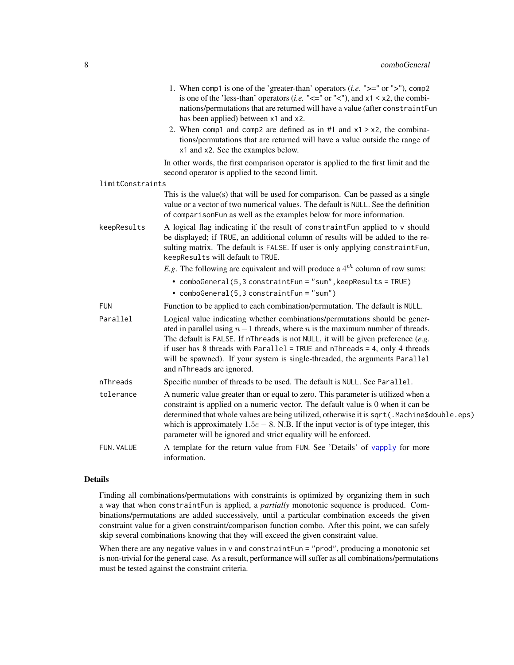<span id="page-7-0"></span>

|                  | 1. When comp1 is one of the 'greater-than' operators ( <i>i.e.</i> " $>=$ " or " $>$ "), comp2<br>is one of the 'less-than' operators ( <i>i.e.</i> " $\lt$ =" or " $\lt$ "), and x1 $\lt$ x2, the combi-<br>nations/permutations that are returned will have a value (after constraintFun<br>has been applied) between x1 and x2.                                                                                                                          |
|------------------|-------------------------------------------------------------------------------------------------------------------------------------------------------------------------------------------------------------------------------------------------------------------------------------------------------------------------------------------------------------------------------------------------------------------------------------------------------------|
|                  | 2. When comp1 and comp2 are defined as in #1 and $x1 > x2$ , the combina-<br>tions/permutations that are returned will have a value outside the range of<br>x1 and x2. See the examples below.                                                                                                                                                                                                                                                              |
|                  | In other words, the first comparison operator is applied to the first limit and the<br>second operator is applied to the second limit.                                                                                                                                                                                                                                                                                                                      |
| limitConstraints |                                                                                                                                                                                                                                                                                                                                                                                                                                                             |
|                  | This is the value(s) that will be used for comparison. Can be passed as a single<br>value or a vector of two numerical values. The default is NULL. See the definition<br>of comparisonFun as well as the examples below for more information.                                                                                                                                                                                                              |
| keepResults      | A logical flag indicating if the result of constraintFun applied to v should<br>be displayed; if TRUE, an additional column of results will be added to the re-<br>sulting matrix. The default is FALSE. If user is only applying constraintFun,<br>keepResults will default to TRUE.                                                                                                                                                                       |
|                  | <i>E.g.</i> The following are equivalent and will produce a $4^{th}$ column of row sums:                                                                                                                                                                                                                                                                                                                                                                    |
|                  | • comboGeneral(5,3 constraintFun = "sum", keepResults = TRUE)                                                                                                                                                                                                                                                                                                                                                                                               |
|                  | • comboGeneral(5,3 constraintFun = "sum")                                                                                                                                                                                                                                                                                                                                                                                                                   |
| <b>FUN</b>       | Function to be applied to each combination/permutation. The default is NULL.                                                                                                                                                                                                                                                                                                                                                                                |
| Parallel         | Logical value indicating whether combinations/permutations should be gener-<br>ated in parallel using $n-1$ threads, where <i>n</i> is the maximum number of threads.<br>The default is FALSE. If nThreads is not NULL, it will be given preference $(e.g.$<br>if user has 8 threads with $Parallel = TRUE$ and $nThreads = 4$ , only 4 threads<br>will be spawned). If your system is single-threaded, the arguments Parallel<br>and nThreads are ignored. |
| nThreads         | Specific number of threads to be used. The default is NULL. See Parallel.                                                                                                                                                                                                                                                                                                                                                                                   |
| tolerance        | A numeric value greater than or equal to zero. This parameter is utilized when a<br>constraint is applied on a numeric vector. The default value is 0 when it can be<br>determined that whole values are being utilized, otherwise it is sqrt (. Machine\$double.eps)<br>which is approximately $1.5e - 8$ . N.B. If the input vector is of type integer, this<br>parameter will be ignored and strict equality will be enforced.                           |
| FUN. VALUE       | A template for the return value from FUN. See 'Details' of vapply for more<br>information.                                                                                                                                                                                                                                                                                                                                                                  |

#### Details

Finding all combinations/permutations with constraints is optimized by organizing them in such a way that when constraintFun is applied, a *partially* monotonic sequence is produced. Combinations/permutations are added successively, until a particular combination exceeds the given constraint value for a given constraint/comparison function combo. After this point, we can safely skip several combinations knowing that they will exceed the given constraint value.

When there are any negative values in v and constraintFun = "prod", producing a monotonic set is non-trivial for the general case. As a result, performance will suffer as all combinations/permutations must be tested against the constraint criteria.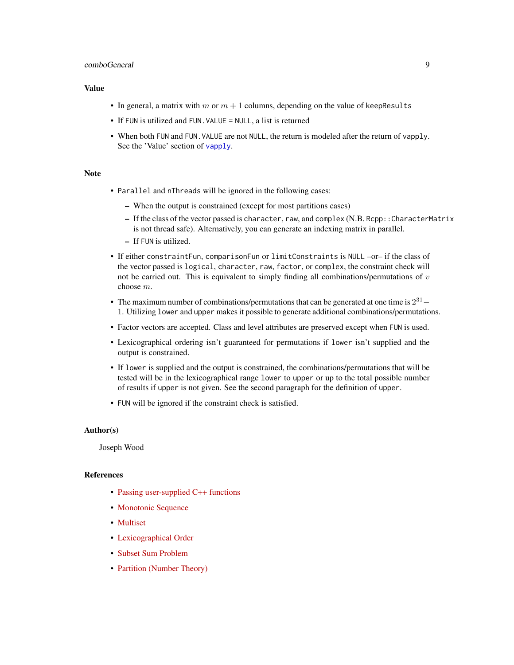# <span id="page-8-0"></span>comboGeneral 9

# Value

- In general, a matrix with m or  $m + 1$  columns, depending on the value of keepResults
- If FUN is utilized and FUN. VALUE = NULL, a list is returned
- When both FUN and FUN.VALUE are not NULL, the return is modeled after the return of vapply. See the 'Value' section of [vapply](#page-0-0).

#### Note

- Parallel and nThreads will be ignored in the following cases:
	- When the output is constrained (except for most partitions cases)
	- If the class of the vector passed is character, raw, and complex (N.B. Rcpp::CharacterMatrix is not thread safe). Alternatively, you can generate an indexing matrix in parallel.
	- If FUN is utilized.
- If either constraintFun, comparisonFun or limitConstraints is NULL –or– if the class of the vector passed is logical, character, raw, factor, or complex, the constraint check will not be carried out. This is equivalent to simply finding all combinations/permutations of  $v$ choose m.
- The maximum number of combinations/permutations that can be generated at one time is  $2^{31}$  1. Utilizing lower and upper makes it possible to generate additional combinations/permutations.
- Factor vectors are accepted. Class and level attributes are preserved except when FUN is used.
- Lexicographical ordering isn't guaranteed for permutations if lower isn't supplied and the output is constrained.
- If lower is supplied and the output is constrained, the combinations/permutations that will be tested will be in the lexicographical range lower to upper or up to the total possible number of results if upper is not given. See the second paragraph for the definition of upper.
- FUN will be ignored if the constraint check is satisfied.

# Author(s)

Joseph Wood

# References

- [Passing user-supplied C++ functions](https://gallery.rcpp.org/articles/passing-cpp-function-pointers/)
- [Monotonic Sequence](https://en.wikipedia.org/wiki/Monotonic_function)
- [Multiset](https://en.wikipedia.org/wiki/Multiset)
- [Lexicographical Order](https://en.wikipedia.org/wiki/Lexicographical_order)
- [Subset Sum Problem](https://en.wikipedia.org/wiki/Subset_sum_problem)
- [Partition \(Number Theory\)](https://en.wikipedia.org/wiki/Partition_(number_theory))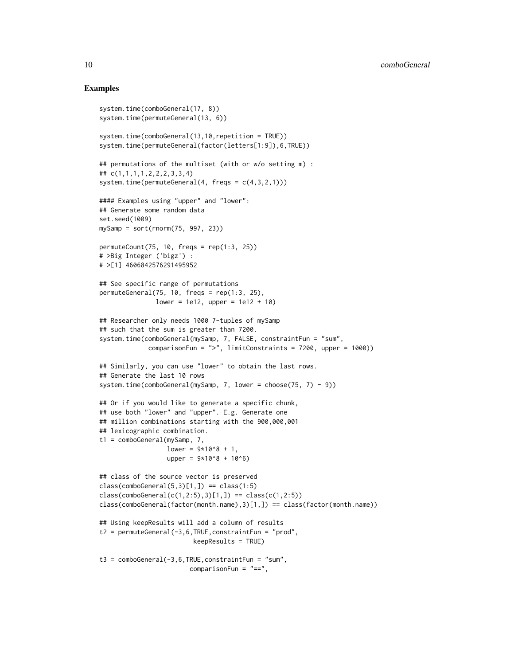# Examples

```
system.time(comboGeneral(17, 8))
system.time(permuteGeneral(13, 6))
system.time(comboGeneral(13,10, repetition = TRUE))
system.time(permuteGeneral(factor(letters[1:9]),6,TRUE))
## permutations of the multiset (with or w/o setting m) :
## c(1,1,1,1,2,2,2,3,3,4)
system.time(permuteGeneral(4, freqs = c(4,3,2,1)))
#### Examples using "upper" and "lower":
## Generate some random data
set.seed(1009)
mySamp = sort(rnorm(75, 997, 23))permuteCount(75, 10, freqs = rep(1:3, 25))
# >Big Integer ('bigz') :
# >[1] 4606842576291495952
## See specific range of permutations
permuteGeneral(75, 10, freqs = rep(1:3, 25),lower = 1e12, upper = 1e12 + 10## Researcher only needs 1000 7-tuples of mySamp
## such that the sum is greater than 7200.
system.time(comboGeneral(mySamp, 7, FALSE, constraintFun = "sum",
             comparisonFun = ">", limitConstraints = 7200, upper = 1000))
## Similarly, you can use "lower" to obtain the last rows.
## Generate the last 10 rows
system.time(comboGeneral(mySamp, 7, lower = choose(75, 7) - 9))
## Or if you would like to generate a specific chunk,
## use both "lower" and "upper". E.g. Generate one
## million combinations starting with the 900,000,001
## lexicographic combination.
t1 = comboGeneral(mySamp, 7,
                  lower = 9*10<sup>8</sup> + 1,upper = 9*10^8 + 10^6)
## class of the source vector is preserved
class(comboGeneral(5,3)[1,]) == class(1:5)class(comboGeneral(c(1,2:5),3)[1,]) == class(c(1,2:5))class(comboGeneral(factor(month.name),3)[1,]) == class(factor(month.name))
## Using keepResults will add a column of results
t2 = permuteGeneral(-3,6,TRUE,constraintFun = "prod",
                         keepResults = TRUE)
t3 = combofeneral(-3, 6, TRUE, constraintFun = "sum",comparisonFun = "==",
```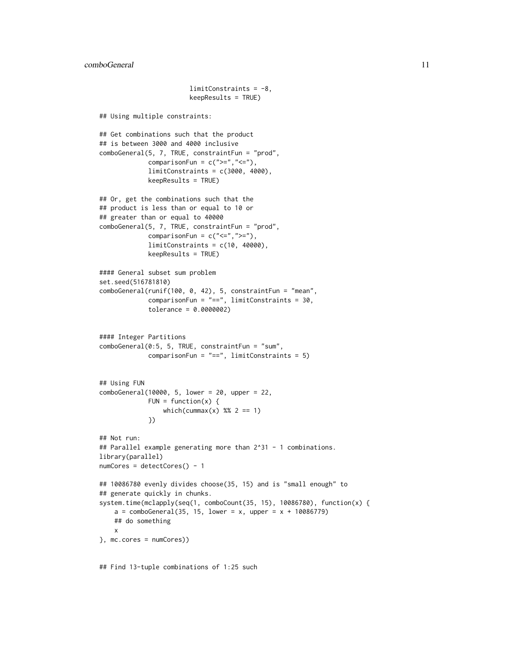```
limitConstraints = -8,
                        keepResults = TRUE)
## Using multiple constraints:
## Get combinations such that the product
## is between 3000 and 4000 inclusive
comboGeneral(5, 7, TRUE, constraintFun = "prod",
             comparisonFun = c(">=", "<="),
             limitConstraints = c(3000, 4000),
             keepResults = TRUE)
## Or, get the combinations such that the
## product is less than or equal to 10 or
## greater than or equal to 40000
comboGeneral(5, 7, TRUE, constraintFun = "prod",
             comparisonFun = c("<=",">="),
             limitConstraints = c(10, 40000),keepResults = TRUE)
#### General subset sum problem
set.seed(516781810)
comboGeneral(runif(100, 0, 42), 5, constraintFun = "mean",
             comparisonFun = "==", limitConstraints = 30,
             tolerance = 0.0000002)
#### Integer Partitions
comboGeneral(0:5, 5, TRUE, constraintFun = "sum",
             comparisonFun = "==", limitConstraints = 5)
## Using FUN
comboGeneral(10000, 5, lower = 20, upper = 22,
             FUN = function(x) {
                 which(cummax(x) %% 2 == 1)
             })
## Not run:
## Parallel example generating more than 2^31 - 1 combinations.
library(parallel)
numCores = detectCores() - 1
## 10086780 evenly divides choose(35, 15) and is "small enough" to
## generate quickly in chunks.
system.time(mclapply(seq(1, comboCount(35, 15), 10086780), function(x) {
   a = comboGeneral(35, 15, lower = x, upper = x + 10086779)## do something
   x
}, mc.cores = numCores))
```
## Find 13-tuple combinations of 1:25 such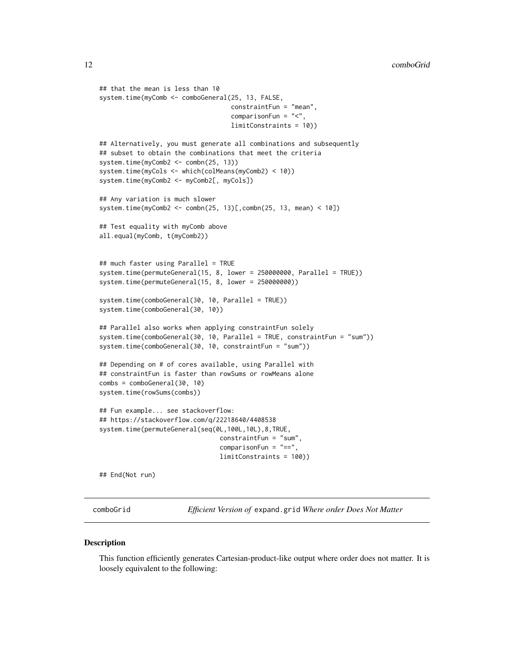```
## that the mean is less than 10
system.time(myComb <- comboGeneral(25, 13, FALSE,
                                   constraintFun = "mean",
                                   comparisonFun = "<",
                                   limitConstraints = 10))
## Alternatively, you must generate all combinations and subsequently
## subset to obtain the combinations that meet the criteria
system.time(myComb2 <- combn(25, 13))
system.time(myCols <- which(colMeans(myComb2) < 10))
system.time(myComb2 <- myComb2[, myCols])
## Any variation is much slower
system.time(myComb2 <- combn(25, 13)[,combn(25, 13, mean) < 10])
## Test equality with myComb above
all.equal(myComb, t(myComb2))
## much faster using Parallel = TRUE
system.time(permuteGeneral(15, 8, lower = 250000000, Parallel = TRUE))
system.time(permuteGeneral(15, 8, lower = 250000000))
system.time(comboGeneral(30, 10, Parallel = TRUE))
system.time(comboGeneral(30, 10))
## Parallel also works when applying constraintFun solely
system.time(comboGeneral(30, 10, Parallel = TRUE, constraintFun = "sum"))
system.time(comboGeneral(30, 10, constraintFun = "sum"))
## Depending on # of cores available, using Parallel with
## constraintFun is faster than rowSums or rowMeans alone
combs = comboGeneral(30, 10)
system.time(rowSums(combs))
## Fun example... see stackoverflow:
## https://stackoverflow.com/q/22218640/4408538
system.time(permuteGeneral(seq(0L,100L,10L),8,TRUE,
                                constraintFun = "sum",
                                comparisonFun = "==",
                                limitConstraints = 100))
```
## End(Not run)

comboGrid *Efficient Version of* expand.grid *Where order Does Not Matter*

#### **Description**

This function efficiently generates Cartesian-product-like output where order does not matter. It is loosely equivalent to the following: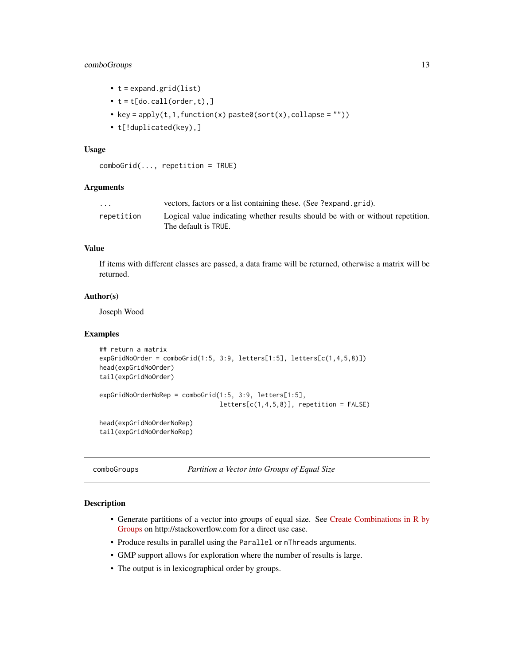# <span id="page-12-0"></span>comboGroups 13

- t = expand.grid(list)
- $\bullet$  t = t[do.call(order,t),]
- key =  $apply(t,1,function(x) paste0(sort(x),collapse = ""))$
- t[!duplicated(key),]

# Usage

```
comboGrid(..., repetition = TRUE)
```
# Arguments

| $\cdots$   | vectors, factors or a list containing these. (See ?expand.grid).               |
|------------|--------------------------------------------------------------------------------|
| repetition | Logical value indicating whether results should be with or without repetition. |
|            | The default is TRUE.                                                           |

# Value

If items with different classes are passed, a data frame will be returned, otherwise a matrix will be returned.

#### Author(s)

Joseph Wood

#### Examples

```
## return a matrix
expGridNoOrder = combOfid(1:5, 3:9, letters[1:5], letters[c(1,4,5,8)])head(expGridNoOrder)
tail(expGridNoOrder)
expGridNoOrderNoRep = comboGrid(1:5, 3:9, letters[1:5],
                                letters[c(1,4,5,8)], repetition = FALSE)
head(expGridNoOrderNoRep)
tail(expGridNoOrderNoRep)
```
comboGroups *Partition a Vector into Groups of Equal Size*

# Description

- Generate partitions of a vector into groups of equal size. See [Create Combinations in R by](https://stackoverflow.com/q/57732672/4408538) [Groups](https://stackoverflow.com/q/57732672/4408538) on http://stackoverflow.com for a direct use case.
- Produce results in parallel using the Parallel or nThreads arguments.
- GMP support allows for exploration where the number of results is large.
- The output is in lexicographical order by groups.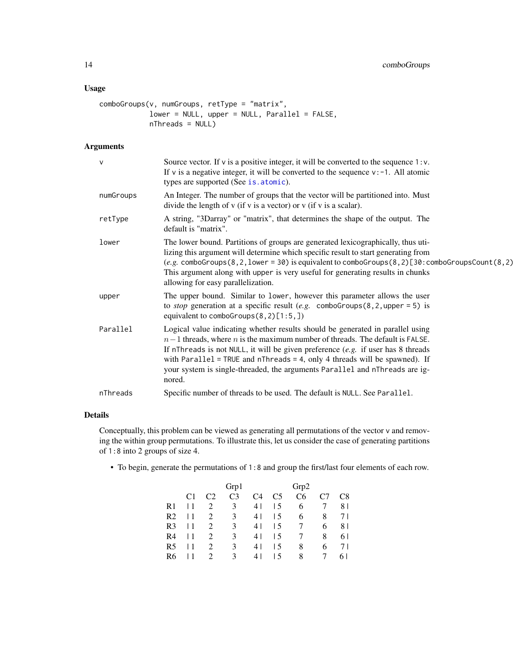# <span id="page-13-0"></span>Usage

```
comboGroups(v, numGroups, retType = "matrix",
            lower = NULL, upper = NULL, Parallel = FALSE,
            nThreads = NULL)
```
# Arguments

| $\mathsf{V}$ | Source vector. If $v$ is a positive integer, it will be converted to the sequence $1 : v$ .<br>If v is a negative integer, it will be converted to the sequence $v: -1$ . All atomic<br>types are supported (See is. atomic).                                                                                                                                                                                                    |
|--------------|----------------------------------------------------------------------------------------------------------------------------------------------------------------------------------------------------------------------------------------------------------------------------------------------------------------------------------------------------------------------------------------------------------------------------------|
| numGroups    | An Integer. The number of groups that the vector will be partitioned into. Must<br>divide the length of $v$ (if $v$ is a vector) or $v$ (if $v$ is a scalar).                                                                                                                                                                                                                                                                    |
| retType      | A string, "3Darray" or "matrix", that determines the shape of the output. The<br>default is "matrix".                                                                                                                                                                                                                                                                                                                            |
| lower        | The lower bound. Partitions of groups are generated lexicographically, thus uti-<br>lizing this argument will determine which specific result to start generating from<br>$(e.g. \text{comboGroups}(8, 2, 1)$ ower = 30) is equivalent to comboGroups $(8, 2)$ [30: comboGroupsCount $(8, 2)$ ]<br>This argument along with upper is very useful for generating results in chunks<br>allowing for easy parallelization.          |
| upper        | The upper bound. Similar to lower, however this parameter allows the user<br>to <i>stop</i> generation at a specific result (e.g. comboGroups(8,2, upper = 5) is<br>equivalent to comboGroups $(8, 2)$ [1:5,])                                                                                                                                                                                                                   |
| Parallel     | Logical value indicating whether results should be generated in parallel using<br>$n-1$ threads, where n is the maximum number of threads. The default is FALSE.<br>If nThreads is not NULL, it will be given preference $(e.g.$ if user has 8 threads<br>with Parallel = TRUE and $n$ Threads = 4, only 4 threads will be spawned). If<br>your system is single-threaded, the arguments Parallel and nThreads are ig-<br>nored. |
| nThreads     | Specific number of threads to be used. The default is NULL. See Parallel.                                                                                                                                                                                                                                                                                                                                                        |
|              |                                                                                                                                                                                                                                                                                                                                                                                                                                  |

# Details

Conceptually, this problem can be viewed as generating all permutations of the vector v and removing the within group permutations. To illustrate this, let us consider the case of generating partitions of 1:8 into 2 groups of size 4.

• To begin, generate the permutations of 1:8 and group the first/last four elements of each row.

|                |                |                | Grp1 |     |                          | Grp2           |   |     |
|----------------|----------------|----------------|------|-----|--------------------------|----------------|---|-----|
|                | C <sub>1</sub> | C <sub>2</sub> | C3   | C4  | C5                       | C <sub>6</sub> |   | C8  |
| R <sub>1</sub> | l 1            | 2              | 3    | 4 I | 15                       | 6              |   | 81  |
| R <sub>2</sub> |                | 2              | 3    | 4   | 15                       | 6              | 8 | 7 I |
| R <sub>3</sub> |                | 2              | 3    | 4   | 15                       | 7              | 6 | 81  |
| R <sub>4</sub> |                | 2              | 3    | 4   | I 5                      |                | 8 | 6 I |
| R <sub>5</sub> |                | 2              | 3    | 41  | I 5                      | 8              | 6 | 7 I |
| R6             |                |                | 3    |     | $\overline{\phantom{1}}$ | 8              |   |     |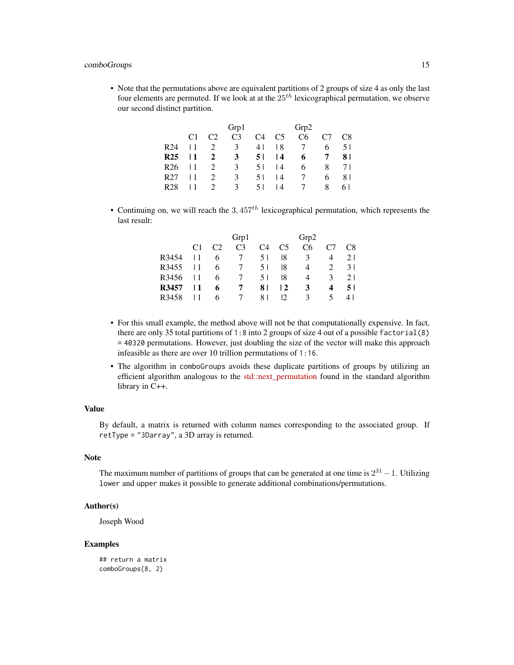#### comboGroups 15

• Note that the permutations above are equivalent partitions of 2 groups of size 4 as only the last four elements are permuted. If we look at at the  $25<sup>th</sup>$  lexicographical permutation, we observe our second distinct partition.

|                 |           |                | Grp1           |     |                 | Grp2            |                 |     |
|-----------------|-----------|----------------|----------------|-----|-----------------|-----------------|-----------------|-----|
|                 | C1        | C <sub>2</sub> | C <sub>3</sub> | C4  | C5              | C <sub>6</sub>  | C7              | C8  |
| R <sub>24</sub> | l 1       | 2              | 3              | 4 L | 18              | 7               | 6               | 51  |
| <b>R25</b>      | 11        | $\mathbf{2}$   | 3              | 51  | $\overline{14}$ | 6               | $7\overline{ }$ | 81  |
| R <sub>26</sub> | $\perp$ 1 | 2              | 3              | 5 I | $\overline{14}$ | 6               | 8               | 71  |
| R <sub>27</sub> | l 1       | 2              | 3              | 5 I | 14              | $7\overline{ }$ | 6               | 81  |
| R <sub>28</sub> |           | $\overline{2}$ | $\mathcal{R}$  | 5 I | 14              | $\overline{7}$  | 8               | 6 I |

• Continuing on, we will reach the  $3.457<sup>th</sup>$  lexicographical permutation, which represents the last result:

|                |                | Grp1           |     |                | Grp2           |                |     |
|----------------|----------------|----------------|-----|----------------|----------------|----------------|-----|
| C <sub>1</sub> | C <sub>2</sub> | C <sub>3</sub> | C4  | C <sub>5</sub> | C <sub>6</sub> | C <sub>7</sub> | C8  |
|                | 6              | 7              | 51  | 18             | 3              | 4              | 21  |
|                | 6              | $\tau$         | 5 I | 18             | 4              | 2              | 31  |
|                | 6              | -7             | 5 I | 18             | 4              | 3              | 21  |
|                | 6              | 7              | 81  | $\overline{2}$ | 3              | 4              | 51  |
|                | 6              |                | 81  | 12.            | 3              | $\mathcal{L}$  | 4 I |
|                |                |                |     |                |                |                |     |

- For this small example, the method above will not be that computationally expensive. In fact, there are only 35 total partitions of 1:8 into 2 groups of size 4 out of a possible factorial(8) = 40320 permutations. However, just doubling the size of the vector will make this approach infeasible as there are over 10 trillion permutations of 1:16.
- The algorithm in comboGroups avoids these duplicate partitions of groups by utilizing an efficient algorithm analogous to the [std::next\\_permutation](https://en.cppreference.com/w/cpp/algorithm/next_permutation) found in the standard algorithm library in C++.

#### Value

By default, a matrix is returned with column names corresponding to the associated group. If retType = "3Darray", a 3D array is returned.

# Note

The maximum number of partitions of groups that can be generated at one time is  $2^{31} - 1$ . Utilizing lower and upper makes it possible to generate additional combinations/permutations.

## Author(s)

Joseph Wood

#### Examples

## return a matrix comboGroups(8, 2)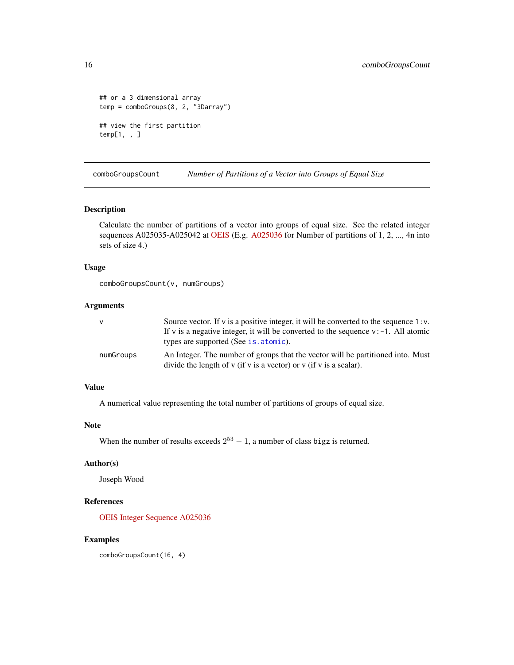```
## or a 3 dimensional array
temp = comboGroups(8, 2, "3Darray")
## view the first partition
temp[1, , ]
```
comboGroupsCount *Number of Partitions of a Vector into Groups of Equal Size*

# Description

Calculate the number of partitions of a vector into groups of equal size. See the related integer sequences A025035-A025042 at [OEIS](https://oeis.org) (E.g. [A025036](https://oeis.org/A025036) for Number of partitions of 1, 2, ..., 4n into sets of size 4.)

#### Usage

```
comboGroupsCount(v, numGroups)
```
#### Arguments

| $\mathsf{V}$ | Source vector. If $v$ is a positive integer, it will be converted to the sequence 1: $v$ . |
|--------------|--------------------------------------------------------------------------------------------|
|              | If v is a negative integer, it will be converted to the sequence $v: -1$ . All atomic      |
|              | types are supported (See is . atomic).                                                     |
| numGroups    | An Integer. The number of groups that the vector will be partitioned into. Must            |
|              | divide the length of $v$ (if $v$ is a vector) or $v$ (if $v$ is a scalar).                 |

# Value

A numerical value representing the total number of partitions of groups of equal size.

# Note

```
When the number of results exceeds 2^{53} - 1, a number of class bigz is returned.
```
# Author(s)

Joseph Wood

# References

[OEIS Integer Sequence A025036](https://oeis.org/A025036)

# Examples

comboGroupsCount(16, 4)

<span id="page-15-0"></span>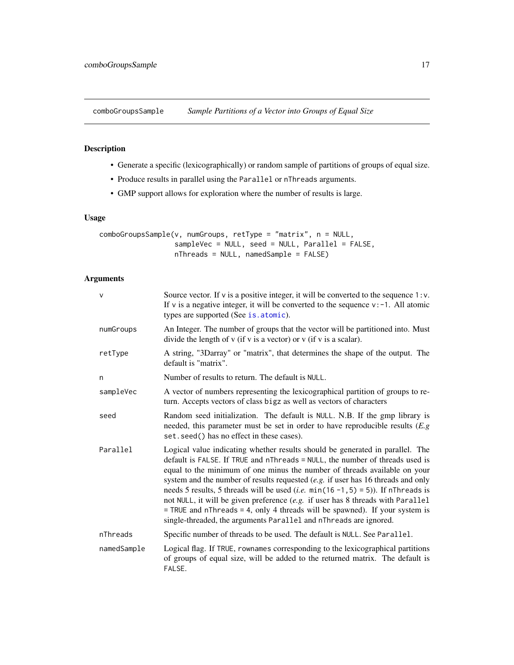<span id="page-16-0"></span>comboGroupsSample *Sample Partitions of a Vector into Groups of Equal Size*

# Description

- Generate a specific (lexicographically) or random sample of partitions of groups of equal size.
- Produce results in parallel using the Parallel or nThreads arguments.
- GMP support allows for exploration where the number of results is large.

# Usage

```
comboGroupsSample(v, numGroups, retType = "matrix", n = NULL,
                  sampleVec = NULL, seed = NULL, Parallel = FALSE,
                 nThreads = NULL, namedSample = FALSE)
```
# Arguments

| $\vee$      | Source vector. If $\nu$ is a positive integer, it will be converted to the sequence 1: $\nu$ .<br>If v is a negative integer, it will be converted to the sequence $v: -1$ . All atomic<br>types are supported (See is. atomic).                                                                                                                                                                                                                                                                                                                                                                                                                                             |
|-------------|------------------------------------------------------------------------------------------------------------------------------------------------------------------------------------------------------------------------------------------------------------------------------------------------------------------------------------------------------------------------------------------------------------------------------------------------------------------------------------------------------------------------------------------------------------------------------------------------------------------------------------------------------------------------------|
| numGroups   | An Integer. The number of groups that the vector will be partitioned into. Must<br>divide the length of $v$ (if $v$ is a vector) or $v$ (if $v$ is a scalar).                                                                                                                                                                                                                                                                                                                                                                                                                                                                                                                |
| retType     | A string, "3Darray" or "matrix", that determines the shape of the output. The<br>default is "matrix".                                                                                                                                                                                                                                                                                                                                                                                                                                                                                                                                                                        |
| n           | Number of results to return. The default is NULL.                                                                                                                                                                                                                                                                                                                                                                                                                                                                                                                                                                                                                            |
| sampleVec   | A vector of numbers representing the lexicographical partition of groups to re-<br>turn. Accepts vectors of class bigz as well as vectors of characters                                                                                                                                                                                                                                                                                                                                                                                                                                                                                                                      |
| seed        | Random seed initialization. The default is NULL. N.B. If the gmp library is<br>needed, this parameter must be set in order to have reproducible results $(E, g)$<br>set. seed() has no effect in these cases).                                                                                                                                                                                                                                                                                                                                                                                                                                                               |
| Parallel    | Logical value indicating whether results should be generated in parallel. The<br>default is FALSE. If TRUE and nThreads = NULL, the number of threads used is<br>equal to the minimum of one minus the number of threads available on your<br>system and the number of results requested $(e.g.$ if user has 16 threads and only<br>needs 5 results, 5 threads will be used ( <i>i.e.</i> $min(16 - 1, 5) = 5$ )). If nThreads is<br>not NULL, it will be given preference (e.g. if user has 8 threads with Parallel<br>$=$ TRUE and nThreads $=$ 4, only 4 threads will be spawned). If your system is<br>single-threaded, the arguments Parallel and nThreads are ignored. |
| nThreads    | Specific number of threads to be used. The default is NULL. See Parallel.                                                                                                                                                                                                                                                                                                                                                                                                                                                                                                                                                                                                    |
| namedSample | Logical flag. If TRUE, rownames corresponding to the lexicographical partitions<br>of groups of equal size, will be added to the returned matrix. The default is<br>FALSE.                                                                                                                                                                                                                                                                                                                                                                                                                                                                                                   |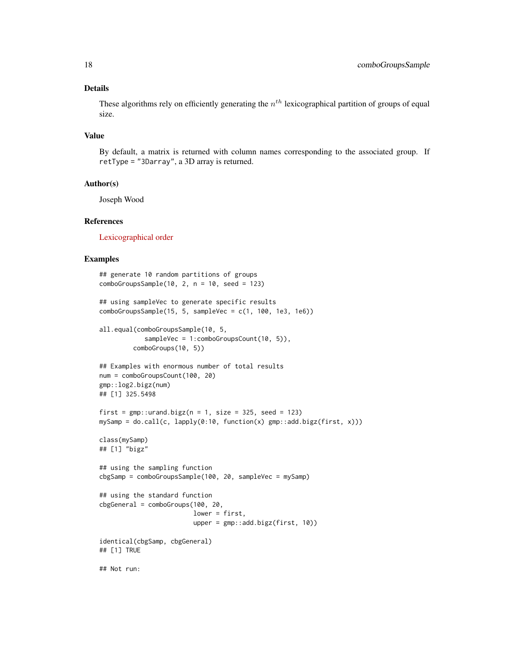# Details

These algorithms rely on efficiently generating the  $n^{th}$  lexicographical partition of groups of equal size.

# Value

By default, a matrix is returned with column names corresponding to the associated group. If retType = "3Darray", a 3D array is returned.

### Author(s)

Joseph Wood

# References

[Lexicographical order](https://en.wikipedia.org/wiki/Lexicographical_order)

#### Examples

```
## generate 10 random partitions of groups
comboGroupsSample(10, 2, n = 10, seed = 123)## using sampleVec to generate specific results
comboGroupsSample(15, 5, sampleVec = c(1, 100, 1e3, 1e6))
all.equal(comboGroupsSample(10, 5,
            sampleVec = 1:comboGroupsCount(10, 5)),
         comboGroups(10, 5))
## Examples with enormous number of total results
num = comboGroupsCount(100, 20)
gmp::log2.bigz(num)
## [1] 325.5498
first = gmp::urand.bigz(n = 1, size = 325, seed = 123)mySamp = do.call(c, lapply(0:10, function(x) gmp::add.bigz(first, x)))
class(mySamp)
## [1] "bigz"
## using the sampling function
cbgSamp = comboGroupsSample(100, 20, sampleVec = mySamp)
## using the standard function
cbgGeneral = comboGroups(100, 20,
                         lower = first,
                         upper = gmp::add.bigz(first, 10))
identical(cbgSamp, cbgGeneral)
## [1] TRUE
## Not run:
```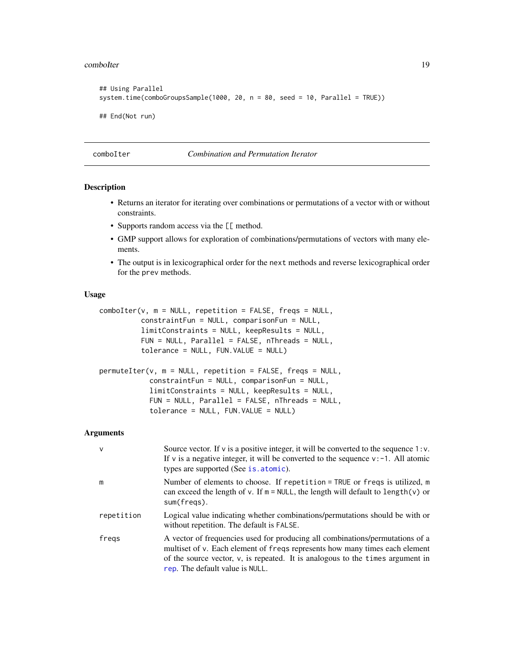#### <span id="page-18-0"></span>comboIter 2008 2012 19:30 19:30 19:30 19:30 19:30 19:30 19:30 19:30 19:30 19:30 19:30 19:30 19:30 19:30 19:30

```
## Using Parallel
system.time(comboGroupsSample(1000, 20, n = 80, seed = 10, Parallel = TRUE))
## End(Not run)
```
comboIter *Combination and Permutation Iterator*

# Description

- Returns an iterator for iterating over combinations or permutations of a vector with or without constraints.
- Supports random access via the [[ method.
- GMP support allows for exploration of combinations/permutations of vectors with many elements.
- The output is in lexicographical order for the next methods and reverse lexicographical order for the prev methods.

#### Usage

```
comboIter(v, m = NULL, repetition = FALSE, freqs = NULL,constraintFun = NULL, comparisonFun = NULL,
          limitConstraints = NULL, keepResults = NULL,
          FUN = NULL, Parallel = FALSE, nThreads = NULL,
          tolerance = NULL, FUN.VALUE = NULL)
permuteIter(v, m = NULL, repetition = FALSE, freqs = NULL,
            constraintFun = NULL, comparisonFun = NULL,
            limitConstraints = NULL, keepResults = NULL,
            FUN = NULL, Parallel = FALSE, nThreads = NULL,
            tolerance = NULL, FUN.VALUE = NULL)
```
#### Arguments

| $\mathsf{v}$ | Source vector. If $\nu$ is a positive integer, it will be converted to the sequence 1: $\nu$ .<br>If v is a negative integer, it will be converted to the sequence $v: -1$ . All atomic<br>types are supported (See is. atomic).                                                     |
|--------------|--------------------------------------------------------------------------------------------------------------------------------------------------------------------------------------------------------------------------------------------------------------------------------------|
| m            | Number of elements to choose. If repetition = TRUE or freqs is utilized, $m$<br>can exceed the length of v. If $m = NULL$ , the length will default to length(v) or<br>sum(fregs).                                                                                                   |
| repetition   | Logical value indicating whether combinations/permutations should be with or<br>without repetition. The default is FALSE.                                                                                                                                                            |
| fregs        | A vector of frequencies used for producing all combinations/permutations of a<br>multiset of v. Each element of freqs represents how many times each element<br>of the source vector, $v$ , is repeated. It is analogous to the times argument in<br>rep. The default value is NULL. |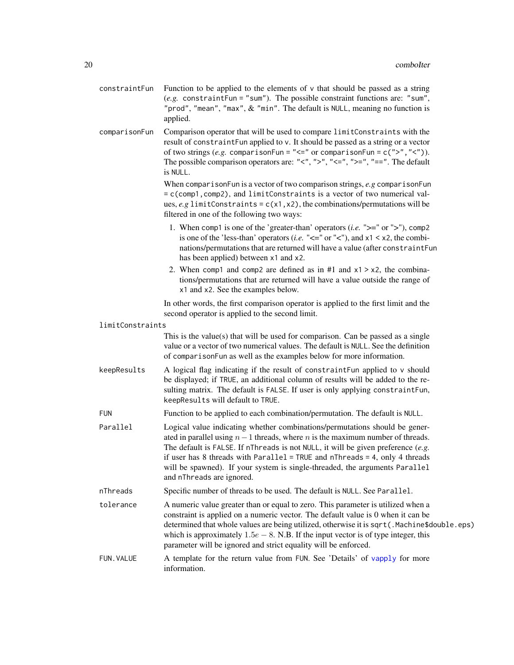- <span id="page-19-0"></span>constraint Fun Function to be applied to the elements of  $\nu$  that should be passed as a string (*e.g.* constraintFun = "sum"). The possible constraint functions are: "sum", "prod", "mean", "max",  $&$  "min". The default is NULL, meaning no function is applied.
- comparisonFun Comparison operator that will be used to compare limitConstraints with the result of constraintFun applied to v. It should be passed as a string or a vector of two strings (*e.g.* comparisonFun = "<=" or comparisonFun = c(">","<")). The possible comparison operators are: " $\lt$ ", " $>$ ", " $\lt$ =", " $\gt$ =", "==". The default is NULL.

When comparisonFun is a vector of two comparison strings, *e.g* comparisonFun = c(comp1,comp2), and limitConstraints is a vector of two numerical values,  $e.g.$  limitConstraints =  $c(x1, x2)$ , the combinations/permutations will be filtered in one of the following two ways:

- 1. When comp1 is one of the 'greater-than' operators (*i.e.* ">=" or ">"), comp2 is one of the 'less-than' operators (*i.e.* " $\lt$ =" or " $\lt$ "), and x1  $\lt$  x2, the combinations/permutations that are returned will have a value (after constraintFun has been applied) between x1 and x2.
- 2. When comp1 and comp2 are defined as in  $#1$  and  $x1 > x2$ , the combinations/permutations that are returned will have a value outside the range of x1 and x2. See the examples below.

In other words, the first comparison operator is applied to the first limit and the second operator is applied to the second limit.

#### limitConstraints

This is the value $(s)$  that will be used for comparison. Can be passed as a single value or a vector of two numerical values. The default is NULL. See the definition of comparisonFun as well as the examples below for more information.

- keepResults A logical flag indicating if the result of constraintFun applied to v should be displayed; if TRUE, an additional column of results will be added to the resulting matrix. The default is FALSE. If user is only applying constraintFun, keepResults will default to TRUE.
- FUN Function to be applied to each combination/permutation. The default is NULL.
- Parallel Logical value indicating whether combinations/permutations should be generated in parallel using  $n-1$  threads, where n is the maximum number of threads. The default is FALSE. If nThreads is not NULL, it will be given preference (*e.g.* if user has 8 threads with Parallel = TRUE and nThreads = 4, only 4 threads will be spawned). If your system is single-threaded, the arguments Parallel and nThreads are ignored.
- nThreads Specific number of threads to be used. The default is NULL. See Parallel.
- tolerance A numeric value greater than or equal to zero. This parameter is utilized when a constraint is applied on a numeric vector. The default value is 0 when it can be determined that whole values are being utilized, otherwise it is sqrt(.Machine\$double.eps) which is approximately  $1.5e - 8$ . N.B. If the input vector is of type integer, this parameter will be ignored and strict equality will be enforced.
- FUN.VALUE A template for the return value from FUN. See 'Details' of [vapply](#page-0-0) for more information.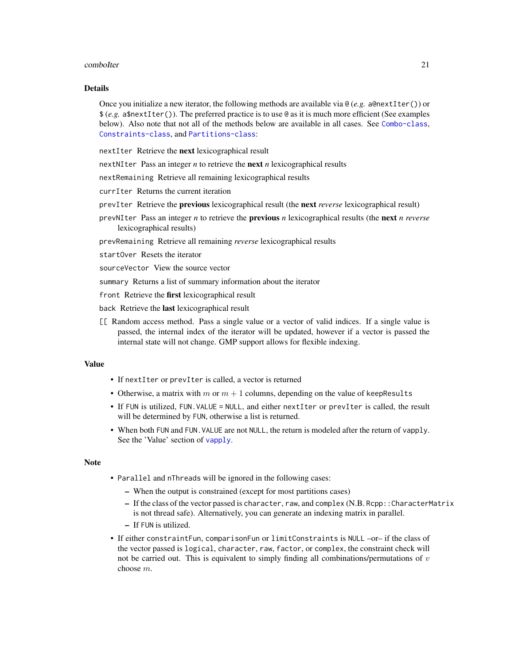#### <span id="page-20-0"></span>comboIter 21

#### Details

Once you initialize a new iterator, the following methods are available via @ (*e.g.* a@nextIter()) or \$ (*e.g.* a\$nextIter()). The preferred practice is to use @ as it is much more efficient (See examples below). Also note that not all of the methods below are available in all cases. See [Combo-class](#page-3-1), [Constraints-class](#page-24-1), and [Partitions-class](#page-34-1):

nextIter Retrieve the next lexicographical result

nextNIter Pass an integer *n* to retrieve the next *n* lexicographical results

nextRemaining Retrieve all remaining lexicographical results

currIter Returns the current iteration

prevIter Retrieve the previous lexicographical result (the next *reverse* lexicographical result)

prevNIter Pass an integer *n* to retrieve the previous *n* lexicographical results (the next *n reverse* lexicographical results)

prevRemaining Retrieve all remaining *reverse* lexicographical results

startOver Resets the iterator

sourceVector View the source vector

summary Returns a list of summary information about the iterator

front Retrieve the first lexicographical result

back Retrieve the last lexicographical result

[[ Random access method. Pass a single value or a vector of valid indices. If a single value is passed, the internal index of the iterator will be updated, however if a vector is passed the internal state will not change. GMP support allows for flexible indexing.

# Value

- If nextIter or prevIter is called, a vector is returned
- Otherwise, a matrix with m or  $m + 1$  columns, depending on the value of keepResults
- If FUN is utilized, FUN.VALUE = NULL, and either nextIter or prevIter is called, the result will be determined by FUN, otherwise a list is returned.
- When both FUN and FUN.VALUE are not NULL, the return is modeled after the return of vapply. See the 'Value' section of [vapply](#page-0-0).

#### Note

- Parallel and nThreads will be ignored in the following cases:
	- When the output is constrained (except for most partitions cases)
	- If the class of the vector passed is character, raw, and complex (N.B. Rcpp::CharacterMatrix is not thread safe). Alternatively, you can generate an indexing matrix in parallel.
	- If FUN is utilized.
- If either constraintFun, comparisonFun or limitConstraints is NULL –or– if the class of the vector passed is logical, character, raw, factor, or complex, the constraint check will not be carried out. This is equivalent to simply finding all combinations/permutations of  $v$ choose m.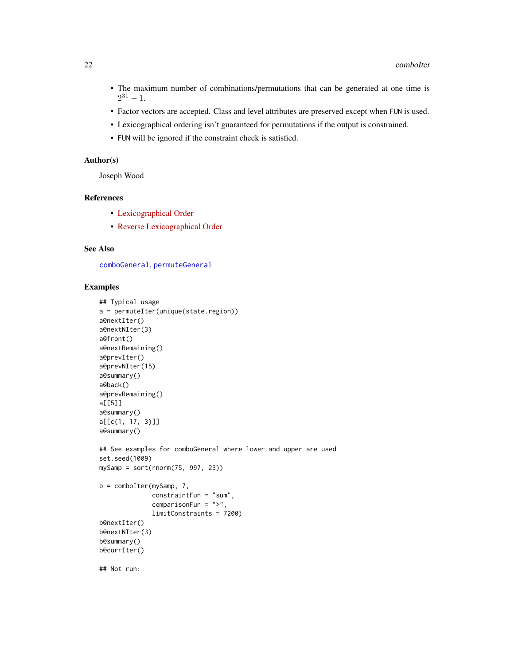- <span id="page-21-0"></span>• The maximum number of combinations/permutations that can be generated at one time is  $2^{31} - 1.$
- Factor vectors are accepted. Class and level attributes are preserved except when FUN is used.
- Lexicographical ordering isn't guaranteed for permutations if the output is constrained.
- FUN will be ignored if the constraint check is satisfied.

#### Author(s)

Joseph Wood

# References

- [Lexicographical Order](https://en.wikipedia.org/wiki/Lexicographical_order)
- [Reverse Lexicographical Order](https://oeis.org/wiki/Orderings#Reverse_lexicographic_order)

# See Also

[comboGeneral](#page-5-1), [permuteGeneral](#page-5-2)

# Examples

```
## Typical usage
a = permuteIter(unique(state.region))
a@nextIter()
a@nextNIter(3)
a@front()
a@nextRemaining()
a@prevIter()
a@prevNIter(15)
a@summary()
a@back()
a@prevRemaining()
a[[5]]
a@summary()
a[[c(1, 17, 3)]]
a@summary()
## See examples for comboGeneral where lower and upper are used
set.seed(1009)
mySamp = sort(rnorm(75, 997, 23))b = comboIter(mySamp, 7,
              constraintFun = "sum",
              comparisonFun = ">",
              limitConstraints = 7200)
b@nextIter()
b@nextNIter(3)
b@summary()
b@currIter()
## Not run:
```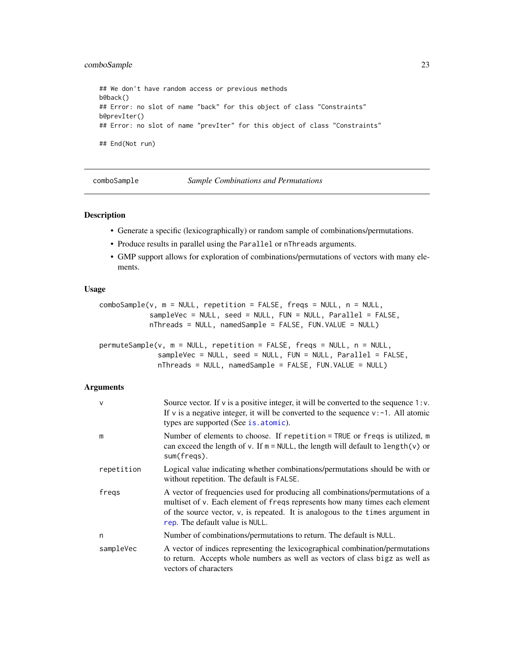# <span id="page-22-0"></span>comboSample 23

```
## We don't have random access or previous methods
b@back()
## Error: no slot of name "back" for this object of class "Constraints"
b@prevIter()
## Error: no slot of name "prevIter" for this object of class "Constraints"
## End(Not run)
```
comboSample *Sample Combinations and Permutations*

#### Description

- Generate a specific (lexicographically) or random sample of combinations/permutations.
- Produce results in parallel using the Parallel or nThreads arguments.
- GMP support allows for exploration of combinations/permutations of vectors with many elements.

#### Usage

```
comboSample(v, m = NULL, repetition = FALSE, freqs = NULL, n = NULL,
            sampleVec = NULL, seed = NULL, FUN = NULL, Parallel = FALSE,
            nThreads = NULL, namedSample = FALSE, FUN.VALUE = NULL)
permuteSample(v, m = NULL, repetition = FALSE, freqs = NULL, n = NULL,
             sampleVec = NULL, seed = NULL, FUN = NULL, Parallel = FALSE,
             nThreads = NULL, namedSample = FALSE, FUN.VALUE = NULL)
```
#### Arguments

| $\mathsf{v}$ | Source vector. If $v$ is a positive integer, it will be converted to the sequence 1: $v$ .<br>If v is a negative integer, it will be converted to the sequence $v: -1$ . All atomic<br>types are supported (See is. atomic).                                                      |
|--------------|-----------------------------------------------------------------------------------------------------------------------------------------------------------------------------------------------------------------------------------------------------------------------------------|
| m            | Number of elements to choose. If repetition = TRUE or freqs is utilized, m<br>can exceed the length of v. If $m = NULL$ , the length will default to length(v) or<br>sum(freqs).                                                                                                  |
| repetition   | Logical value indicating whether combinations/permutations should be with or<br>without repetition. The default is FALSE.                                                                                                                                                         |
| freqs        | A vector of frequencies used for producing all combinations/permutations of a<br>multiset of v. Each element of freqs represents how many times each element<br>of the source vector, v, is repeated. It is analogous to the times argument in<br>rep. The default value is NULL. |
| n            | Number of combinations/permutations to return. The default is NULL.                                                                                                                                                                                                               |
| sampleVec    | A vector of indices representing the lexicographical combination/permutations<br>to return. Accepts whole numbers as well as vectors of class bigz as well as<br>vectors of characters                                                                                            |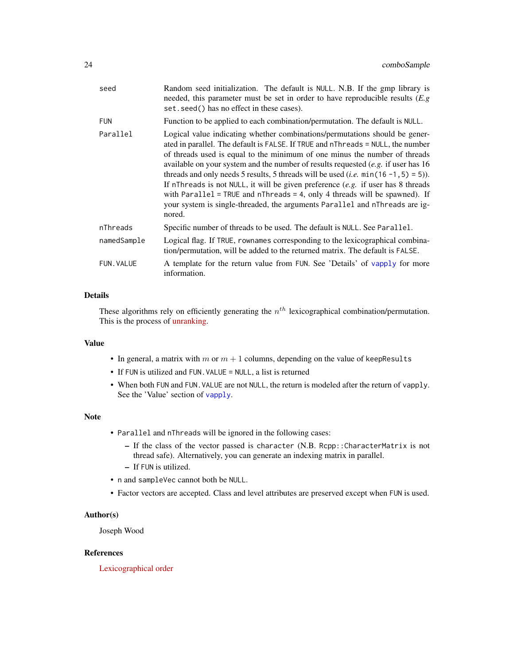<span id="page-23-0"></span>

| seed              | Random seed initialization. The default is NULL. N.B. If the gmp library is<br>needed, this parameter must be set in order to have reproducible results $(E, g)$<br>set. seed() has no effect in these cases).                                                                                                                                                                                                                                                                                                                                                                                                                                                                                         |
|-------------------|--------------------------------------------------------------------------------------------------------------------------------------------------------------------------------------------------------------------------------------------------------------------------------------------------------------------------------------------------------------------------------------------------------------------------------------------------------------------------------------------------------------------------------------------------------------------------------------------------------------------------------------------------------------------------------------------------------|
| <b>FUN</b>        | Function to be applied to each combination/permutation. The default is NULL.                                                                                                                                                                                                                                                                                                                                                                                                                                                                                                                                                                                                                           |
| Parallel          | Logical value indicating whether combinations/permutations should be gener-<br>ated in parallel. The default is FALSE. If TRUE and nThreads = NULL, the number<br>of threads used is equal to the minimum of one minus the number of threads<br>available on your system and the number of results requested $(e.g.$ if user has 16<br>threads and only needs 5 results, 5 threads will be used ( <i>i.e.</i> $min(16 - 1, 5) = 5$ )).<br>If nThreads is not NULL, it will be given preference $(e.g.$ if user has 8 threads<br>with Parallel = TRUE and $n$ Threads = 4, only 4 threads will be spawned). If<br>your system is single-threaded, the arguments Parallel and nThreads are ig-<br>nored. |
| nThreads          | Specific number of threads to be used. The default is NULL. See Parallel.                                                                                                                                                                                                                                                                                                                                                                                                                                                                                                                                                                                                                              |
| namedSample       | Logical flag. If TRUE, rownames corresponding to the lexicographical combina-<br>tion/permutation, will be added to the returned matrix. The default is FALSE.                                                                                                                                                                                                                                                                                                                                                                                                                                                                                                                                         |
| <b>FUN. VALUE</b> | A template for the return value from FUN. See 'Details' of vapply for more<br>information.                                                                                                                                                                                                                                                                                                                                                                                                                                                                                                                                                                                                             |
|                   |                                                                                                                                                                                                                                                                                                                                                                                                                                                                                                                                                                                                                                                                                                        |

# Details

These algorithms rely on efficiently generating the  $n<sup>th</sup>$  lexicographical combination/permutation. This is the process of [unranking.](https://rosettacode.org/wiki/Permutations/Rank_of_a_permutation)

# Value

- In general, a matrix with m or  $m + 1$  columns, depending on the value of keepResults
- If FUN is utilized and FUN. VALUE = NULL, a list is returned
- When both FUN and FUN. VALUE are not NULL, the return is modeled after the return of vapply. See the 'Value' section of [vapply](#page-0-0).

# Note

- Parallel and nThreads will be ignored in the following cases:
	- If the class of the vector passed is character (N.B. Rcpp::CharacterMatrix is not thread safe). Alternatively, you can generate an indexing matrix in parallel.
	- If FUN is utilized.
- n and sampleVec cannot both be NULL.
- Factor vectors are accepted. Class and level attributes are preserved except when FUN is used.

# Author(s)

Joseph Wood

# References

[Lexicographical order](https://en.wikipedia.org/wiki/Lexicographical_order)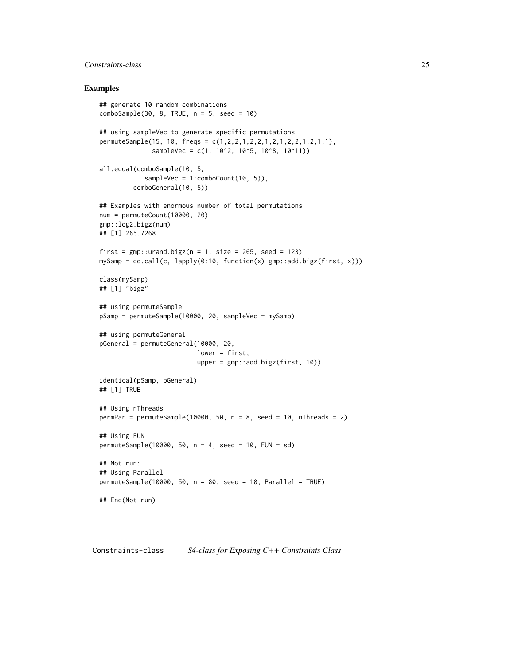# <span id="page-24-0"></span>Constraints-class 25

#### Examples

```
## generate 10 random combinations
comboSample(30, 8, TRUE, n = 5, seed = 10)## using sampleVec to generate specific permutations
permuteSample(15, 10, freqs = c(1,2,2,1,2,2,1,2,1,2,2,1,2,1,1),
              sampleVec = c(1, 10^2, 10^5, 10^8, 10^11)all.equal(comboSample(10, 5,
            sampleVec = 1:comboCount(10, 5)),
         comboGeneral(10, 5))
## Examples with enormous number of total permutations
num = permuteCount(10000, 20)
gmp::log2.bigz(num)
## [1] 265.7268
first = gmp::urand.bigz(n = 1, size = 265, seed = 123)mySamp = do.call(c, lapply(0:10, function(x) gmp::add.bigz(first, x)))
class(mySamp)
## [1] "bigz"
## using permuteSample
pSamp = permuteSample(10000, 20, sampleVec = mySamp)
## using permuteGeneral
pGeneral = permuteGeneral(10000, 20,
                          lower = first,
                          upper = gmp::add.bigz(first, 10))
identical(pSamp, pGeneral)
## [1] TRUE
## Using nThreads
permPar = permuteSample(10000, 50, n = 8, seed = 10, nThreads = 2)
## Using FUN
permutesSample(10000, 50, n = 4, seed = 10, FUN = sd)## Not run:
## Using Parallel
permutesample(10000, 50, n = 80, seed = 10, Parallel = TRUE)## End(Not run)
```
<span id="page-24-1"></span>Constraints-class *S4-class for Exposing C++ Constraints Class*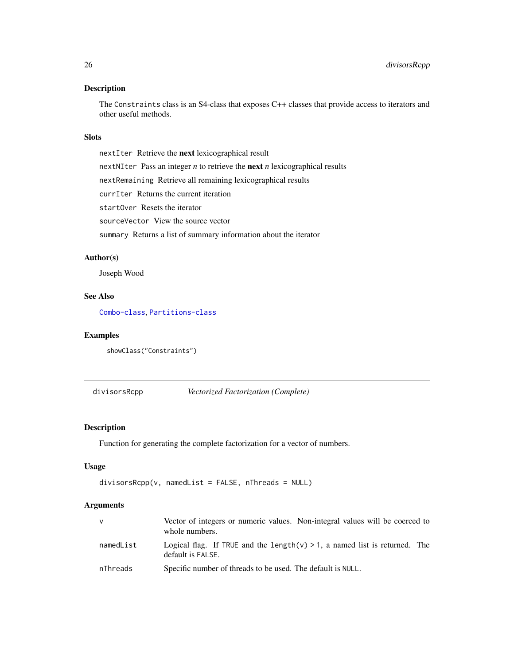<span id="page-25-0"></span>The Constraints class is an S4-class that exposes C++ classes that provide access to iterators and other useful methods.

# Slots

nextIter Retrieve the next lexicographical result nextNIter Pass an integer *n* to retrieve the next *n* lexicographical results nextRemaining Retrieve all remaining lexicographical results currIter Returns the current iteration startOver Resets the iterator sourceVector View the source vector summary Returns a list of summary information about the iterator

#### Author(s)

Joseph Wood

# See Also

[Combo-class](#page-3-1), [Partitions-class](#page-34-1)

# Examples

showClass("Constraints")

<span id="page-25-1"></span>divisorsRcpp *Vectorized Factorization (Complete)*

# Description

Function for generating the complete factorization for a vector of numbers.

# Usage

```
divisorsRep(v, namedList = FALSE, nThread = NULL)
```
# Arguments

| <b>V</b>  | Vector of integers or numeric values. Non-integral values will be coerced to<br>whole numbers.  |
|-----------|-------------------------------------------------------------------------------------------------|
| namedList | Logical flag. If TRUE and the length(v) > 1, a named list is returned. The<br>default is FALSE. |
| nThreads  | Specific number of threads to be used. The default is NULL.                                     |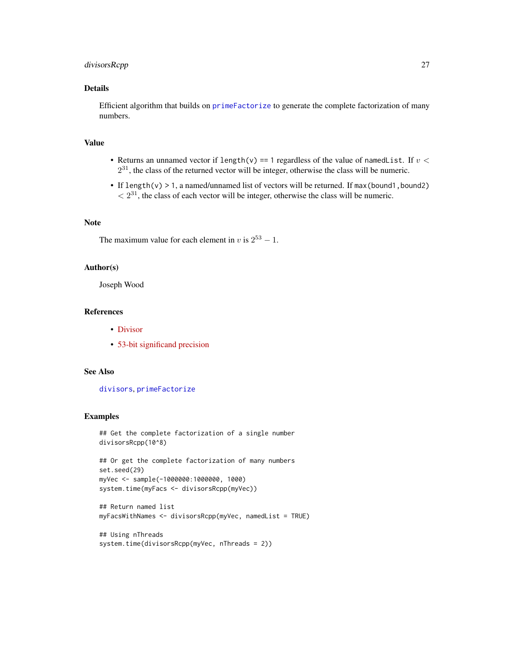# <span id="page-26-0"></span>divisorsRcpp 27

# Details

Efficient algorithm that builds on [primeFactorize](#page-44-1) to generate the complete factorization of many numbers.

# Value

- Returns an unnamed vector if length(v) == 1 regardless of the value of namedlist. If  $v <$  $2^{31}$ , the class of the returned vector will be integer, otherwise the class will be numeric.
- If length(v)  $> 1$ , a named/unnamed list of vectors will be returned. If max(bound1, bound2)  $\langle 2^{31}$ , the class of each vector will be integer, otherwise the class will be numeric.

# Note

The maximum value for each element in v is  $2^{53} - 1$ .

# Author(s)

Joseph Wood

#### References

- [Divisor](https://en.wikipedia.org/wiki/Divisor)
- [53-bit significand precision](https://en.wikipedia.org/wiki/Double-precision_floating-point_format)

#### See Also

[divisors](#page-0-0), [primeFactorize](#page-44-1)

#### Examples

```
## Get the complete factorization of a single number
divisorsRcpp(10^8)
```

```
## Or get the complete factorization of many numbers
set.seed(29)
myVec <- sample(-1000000:1000000, 1000)
system.time(myFacs <- divisorsRcpp(myVec))
```

```
## Return named list
myFacsWithNames <- divisorsRcpp(myVec, namedList = TRUE)
```

```
## Using nThreads
system.time(divisorsRcpp(myVec, nThreads = 2))
```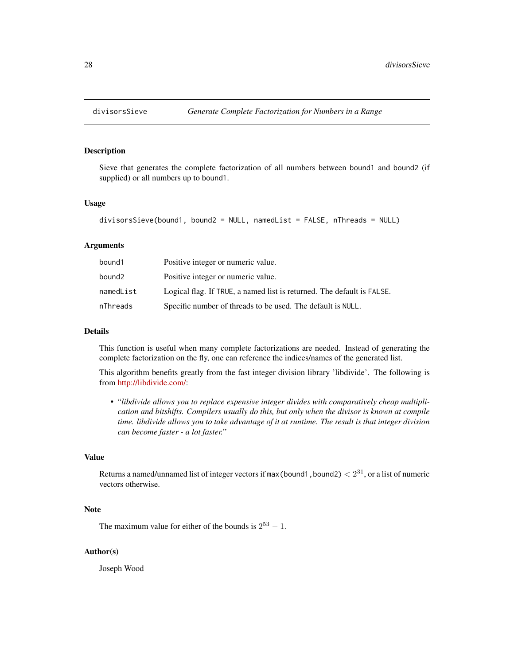<span id="page-27-1"></span><span id="page-27-0"></span>

Sieve that generates the complete factorization of all numbers between bound1 and bound2 (if supplied) or all numbers up to bound1.

#### Usage

```
divisorsSieve(bound1, bound2 = NULL, namedList = FALSE, nThreads = NULL)
```
#### Arguments

| bound1    | Positive integer or numeric value.                                     |
|-----------|------------------------------------------------------------------------|
| bound2    | Positive integer or numeric value.                                     |
| namedList | Logical flag. If TRUE, a named list is returned. The default is FALSE. |
| nThreads  | Specific number of threads to be used. The default is NULL.            |

#### Details

This function is useful when many complete factorizations are needed. Instead of generating the complete factorization on the fly, one can reference the indices/names of the generated list.

This algorithm benefits greatly from the fast integer division library 'libdivide'. The following is from [http://libdivide.com/:](http://libdivide.com/)

• "*libdivide allows you to replace expensive integer divides with comparatively cheap multiplication and bitshifts. Compilers usually do this, but only when the divisor is known at compile time. libdivide allows you to take advantage of it at runtime. The result is that integer division can become faster - a lot faster.*"

# Value

Returns a named/unnamed list of integer vectors if max (bound1, bound2)  $< 2^{31}$ , or a list of numeric vectors otherwise.

#### Note

The maximum value for either of the bounds is  $2^{53} - 1$ .

#### Author(s)

Joseph Wood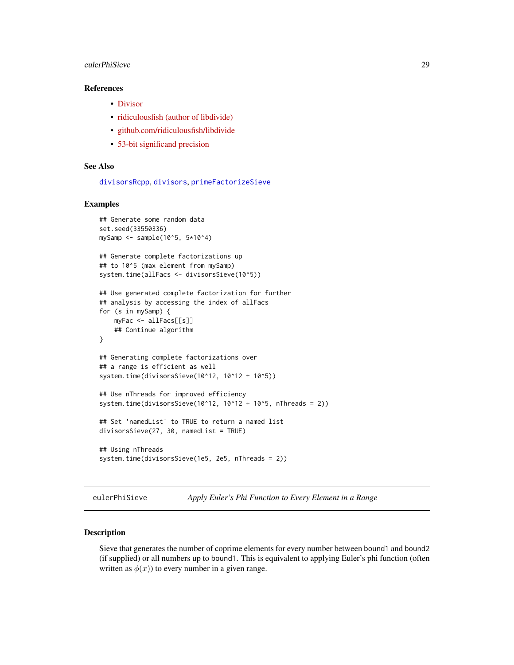# <span id="page-28-0"></span>eulerPhiSieve 29

# References

- [Divisor](https://en.wikipedia.org/wiki/Divisor)
- [ridiculousfish \(author of libdivide\)](http://ridiculousfish.com/)
- [github.com/ridiculousfish/libdivide](https://github.com/ridiculousfish/libdivide)
- [53-bit significand precision](https://en.wikipedia.org/wiki/Double-precision_floating-point_format)

# See Also

[divisorsRcpp](#page-25-1), [divisors](#page-0-0), [primeFactorizeSieve](#page-45-1)

#### Examples

```
## Generate some random data
set.seed(33550336)
mySamp \le sample(10^5, 5*10^4)
## Generate complete factorizations up
## to 10^5 (max element from mySamp)
system.time(allFacs <- divisorsSieve(10^5))
## Use generated complete factorization for further
## analysis by accessing the index of allFacs
for (s in mySamp) {
   myFac <- allFacs[[s]]
    ## Continue algorithm
}
## Generating complete factorizations over
## a range is efficient as well
system.time(divisorsSieve(10^12, 10^12 + 10^5))
## Use nThreads for improved efficiency
system.time(divisorsSieve(10^12, 10^12 + 10^5, nThreads = 2))
## Set 'namedList' to TRUE to return a named list
divisorsSieve(27, 30, namedList = TRUE)
## Using nThreads
system.time(divisorsSieve(1e5, 2e5, nThreads = 2))
```
eulerPhiSieve *Apply Euler's Phi Function to Every Element in a Range*

# Description

Sieve that generates the number of coprime elements for every number between bound1 and bound2 (if supplied) or all numbers up to bound1. This is equivalent to applying Euler's phi function (often written as  $\phi(x)$ ) to every number in a given range.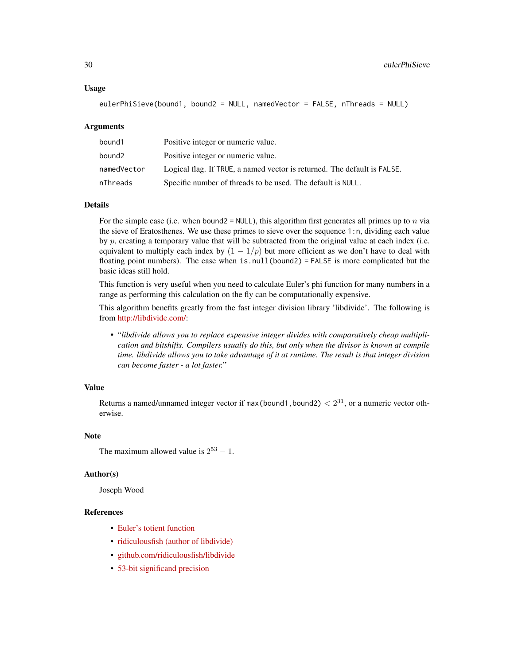#### Usage

```
eulerPhiSieve(bound1, bound2 = NULL, namedVector = FALSE, nThreads = NULL)
```
#### Arguments

| bound1      | Positive integer or numeric value.                                       |
|-------------|--------------------------------------------------------------------------|
| bound2      | Positive integer or numeric value.                                       |
| namedVector | Logical flag. If TRUE, a named vector is returned. The default is FALSE. |
| nThreads    | Specific number of threads to be used. The default is NULL.              |

### Details

For the simple case (i.e. when bound2 = NULL), this algorithm first generates all primes up to n via the sieve of Eratosthenes. We use these primes to sieve over the sequence 1:n, dividing each value by  $p$ , creating a temporary value that will be subtracted from the original value at each index (i.e. equivalent to multiply each index by  $(1 - 1/p)$  but more efficient as we don't have to deal with floating point numbers). The case when is.null(bound2) = FALSE is more complicated but the basic ideas still hold.

This function is very useful when you need to calculate Euler's phi function for many numbers in a range as performing this calculation on the fly can be computationally expensive.

This algorithm benefits greatly from the fast integer division library 'libdivide'. The following is from [http://libdivide.com/:](http://libdivide.com/)

• "*libdivide allows you to replace expensive integer divides with comparatively cheap multiplication and bitshifts. Compilers usually do this, but only when the divisor is known at compile time. libdivide allows you to take advantage of it at runtime. The result is that integer division can become faster - a lot faster.*"

#### Value

Returns a named/unnamed integer vector if max (bound1, bound2)  $< 2^{31}$ , or a numeric vector otherwise.

#### Note

```
The maximum allowed value is 2^{53} - 1.
```
#### Author(s)

Joseph Wood

# References

- [Euler's totient function](https://en.wikipedia.org/wiki/Euler%27s_totient_function)
- [ridiculousfish \(author of libdivide\)](http://ridiculousfish.com/)
- [github.com/ridiculousfish/libdivide](https://github.com/ridiculousfish/libdivide)
- [53-bit significand precision](https://en.wikipedia.org/wiki/Double-precision_floating-point_format)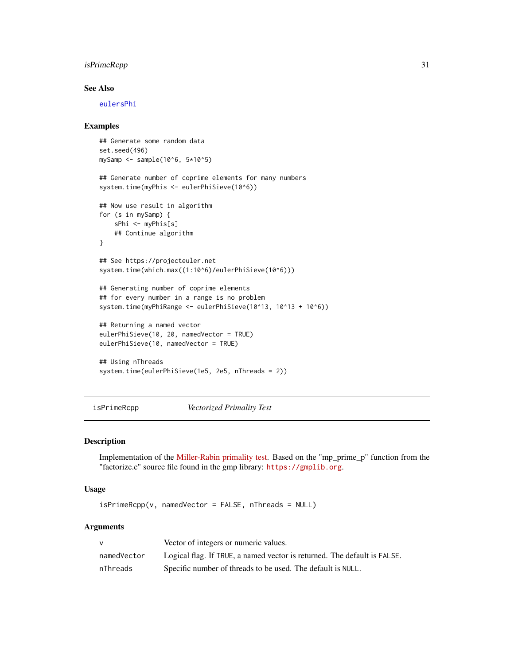# <span id="page-30-0"></span>isPrimeRcpp 31

# See Also

[eulersPhi](#page-0-0)

#### Examples

```
## Generate some random data
set.seed(496)
mySamp \le - sample(10^6, 5*10^5)
## Generate number of coprime elements for many numbers
system.time(myPhis <- eulerPhiSieve(10^6))
## Now use result in algorithm
for (s in mySamp) {
   sPhi <- myPhis[s]
   ## Continue algorithm
}
## See https://projecteuler.net
system.time(which.max((1:10^6)/eulerPhiSieve(10^6)))
## Generating number of coprime elements
## for every number in a range is no problem
system.time(myPhiRange <- eulerPhiSieve(10^13, 10^13 + 10^6))
## Returning a named vector
eulerPhiSieve(10, 20, namedVector = TRUE)
eulerPhiSieve(10, namedVector = TRUE)
## Using nThreads
system.time(eulerPhiSieve(1e5, 2e5, nThreads = 2))
```
<span id="page-30-1"></span>isPrimeRcpp *Vectorized Primality Test*

#### Description

Implementation of the [Miller-Rabin primality test.](https://en.wikipedia.org/wiki/Miller-Rabin_primality_test) Based on the "mp\_prime\_p" function from the "factorize.c" source file found in the gmp library: <https://gmplib.org>.

# Usage

isPrimeRcpp(v, namedVector = FALSE, nThreads = NULL)

#### Arguments

|             | Vector of integers or numeric values.                                    |
|-------------|--------------------------------------------------------------------------|
| namedVector | Logical flag. If TRUE, a named vector is returned. The default is FALSE. |
| nThreads    | Specific number of threads to be used. The default is NULL.              |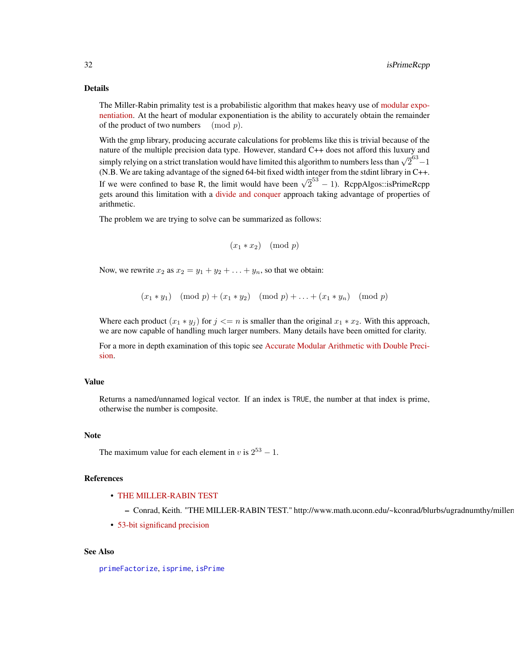#### <span id="page-31-0"></span>Details

The Miller-Rabin primality test is a probabilistic algorithm that makes heavy use of [modular expo](https://en.wikipedia.org/wiki/Modular_exponentiation)[nentiation.](https://en.wikipedia.org/wiki/Modular_exponentiation) At the heart of modular exponentiation is the ability to accurately obtain the remainder of the product of two numbers  $\pmod{p}$ .

With the gmp library, producing accurate calculations for problems like this is trivial because of the nature of the multiple precision data type. However, standard C++ does not afford this luxury and simply relying on a strict translation would have limited this algorithm to numbers less than  $\sqrt{2}^{63} - 1$ (N.B. We are taking advantage of the signed 64-bit fixed width integer from the stdint library in C++. If we were confined to base R, the limit would have been  $\sqrt{2}^{53} - 1$ ). RcppAlgos::isPrimeRcpp gets around this limitation with a [divide and conquer](https://en.wikipedia.org/wiki/Divide_and_conquer_algorithm) approach taking advantage of properties of arithmetic.

The problem we are trying to solve can be summarized as follows:

```
(x_1 * x_2) \pmod{p}
```
Now, we rewrite  $x_2$  as  $x_2 = y_1 + y_2 + \ldots + y_n$ , so that we obtain:

 $(x_1 * y_1) \pmod{p} + (x_1 * y_2) \pmod{p} + \ldots + (x_1 * y_n) \pmod{p}$ 

Where each product  $(x_1 * y_j)$  for  $j \le n$  is smaller than the original  $x_1 * x_2$ . With this approach, we are now capable of handling much larger numbers. Many details have been omitted for clarity.

For a more in depth examination of this topic see [Accurate Modular Arithmetic with Double Preci](https://codereview.stackexchange.com/questions/186751/accurate-modular-arithmetic-with-double-precision)[sion.](https://codereview.stackexchange.com/questions/186751/accurate-modular-arithmetic-with-double-precision)

#### Value

Returns a named/unnamed logical vector. If an index is TRUE, the number at that index is prime, otherwise the number is composite.

#### Note

The maximum value for each element in v is  $2^{53} - 1$ .

#### References

- [THE MILLER-RABIN TEST](https://www.math.uconn.edu/~kconrad/blurbs/ugradnumthy/millerrabin.pdf)
	- Conrad, Keith. "THE MILLER-RABIN TEST." http://www.math.uconn.edu/~kconrad/blurbs/ugradnumthy/miller
- [53-bit significand precision](https://en.wikipedia.org/wiki/Double-precision_floating-point_format)

#### See Also

[primeFactorize](#page-44-1), [isprime](#page-0-0), [isPrime](#page-0-0)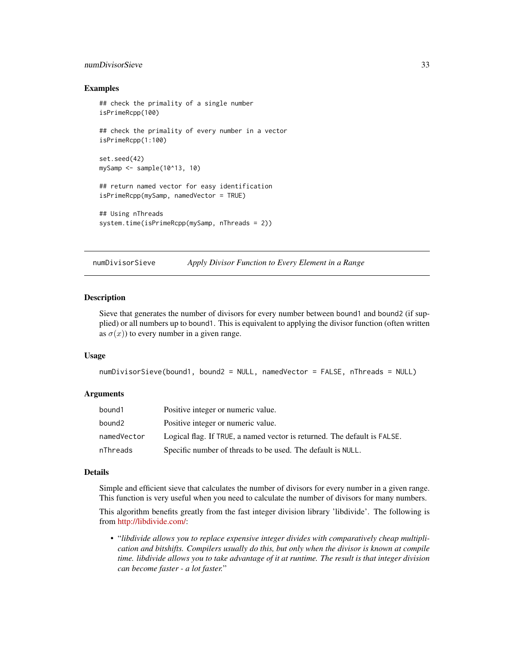# <span id="page-32-0"></span>numDivisorSieve 33

#### Examples

```
## check the primality of a single number
isPrimeRcpp(100)
## check the primality of every number in a vector
isPrimeRcpp(1:100)
set.seed(42)
mySamp <- sample(10^13, 10)
## return named vector for easy identification
isPrimeRcpp(mySamp, namedVector = TRUE)
## Using nThreads
system.time(isPrimeRcpp(mySamp, nThreads = 2))
```
numDivisorSieve *Apply Divisor Function to Every Element in a Range*

#### Description

Sieve that generates the number of divisors for every number between bound1 and bound2 (if supplied) or all numbers up to bound1. This is equivalent to applying the divisor function (often written as  $\sigma(x)$ ) to every number in a given range.

#### Usage

```
numDivisorSieve(bound1, bound2 = NULL, namedVector = FALSE, nThreads = NULL)
```
#### Arguments

| bound1      | Positive integer or numeric value.                                       |
|-------------|--------------------------------------------------------------------------|
| bound2      | Positive integer or numeric value.                                       |
| namedVector | Logical flag. If TRUE, a named vector is returned. The default is FALSE. |
| nThreads    | Specific number of threads to be used. The default is NULL.              |

#### Details

Simple and efficient sieve that calculates the number of divisors for every number in a given range. This function is very useful when you need to calculate the number of divisors for many numbers.

This algorithm benefits greatly from the fast integer division library 'libdivide'. The following is from [http://libdivide.com/:](http://libdivide.com/)

• "*libdivide allows you to replace expensive integer divides with comparatively cheap multiplication and bitshifts. Compilers usually do this, but only when the divisor is known at compile time. libdivide allows you to take advantage of it at runtime. The result is that integer division can become faster - a lot faster.*"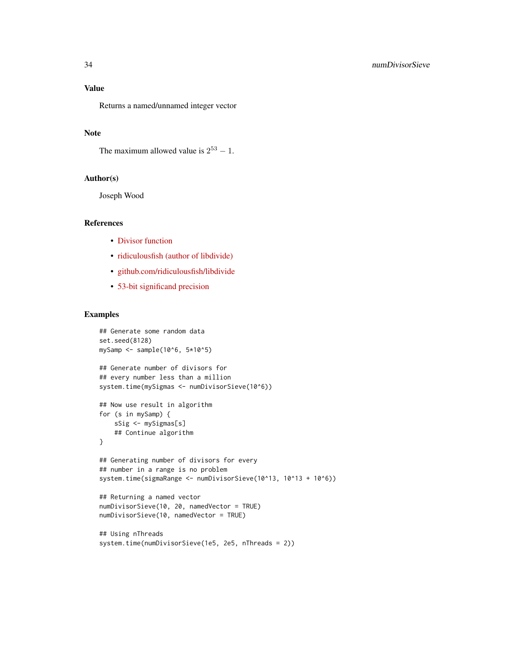Returns a named/unnamed integer vector

#### Note

The maximum allowed value is  $2^{53} - 1$ .

# Author(s)

Joseph Wood

#### References

- [Divisor function](https://en.wikipedia.org/wiki/Divisor_function)
- [ridiculousfish \(author of libdivide\)](http://ridiculousfish.com/)
- [github.com/ridiculousfish/libdivide](https://github.com/ridiculousfish/libdivide)
- [53-bit significand precision](https://en.wikipedia.org/wiki/Double-precision_floating-point_format)

# Examples

```
## Generate some random data
set.seed(8128)
mySamp <- sample(10^6, 5*10^5)
## Generate number of divisors for
## every number less than a million
system.time(mySigmas <- numDivisorSieve(10^6))
## Now use result in algorithm
for (s in mySamp) {
   sSig <- mySigmas[s]
   ## Continue algorithm
}
## Generating number of divisors for every
## number in a range is no problem
system.time(sigmaRange <- numDivisorSieve(10^13, 10^13 + 10^6))
## Returning a named vector
numDivisorSieve(10, 20, namedVector = TRUE)
numDivisorSieve(10, namedVector = TRUE)
```

```
## Using nThreads
system.time(numDivisorSieve(1e5, 2e5, nThreads = 2))
```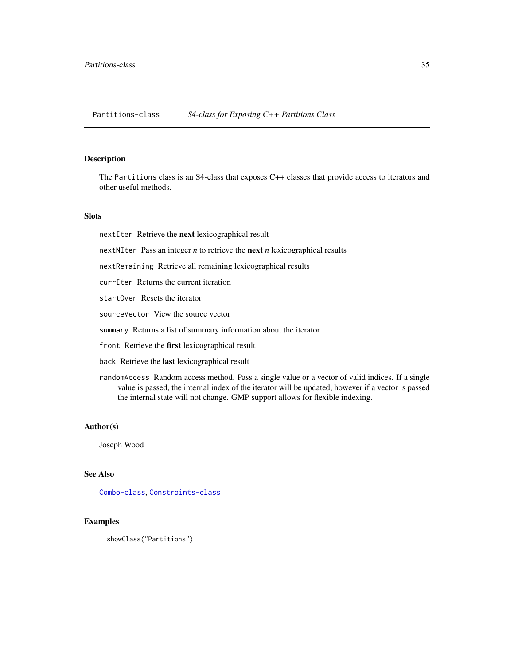<span id="page-34-1"></span><span id="page-34-0"></span>Partitions-class *S4-class for Exposing C++ Partitions Class*

#### Description

The Partitions class is an S4-class that exposes C++ classes that provide access to iterators and other useful methods.

# Slots

nextIter Retrieve the next lexicographical result

nextNIter Pass an integer *n* to retrieve the next *n* lexicographical results

nextRemaining Retrieve all remaining lexicographical results

currIter Returns the current iteration

startOver Resets the iterator

sourceVector View the source vector

summary Returns a list of summary information about the iterator

front Retrieve the first lexicographical result

back Retrieve the last lexicographical result

randomAccess Random access method. Pass a single value or a vector of valid indices. If a single value is passed, the internal index of the iterator will be updated, however if a vector is passed the internal state will not change. GMP support allows for flexible indexing.

#### Author(s)

Joseph Wood

#### See Also

[Combo-class](#page-3-1), [Constraints-class](#page-24-1)

# Examples

showClass("Partitions")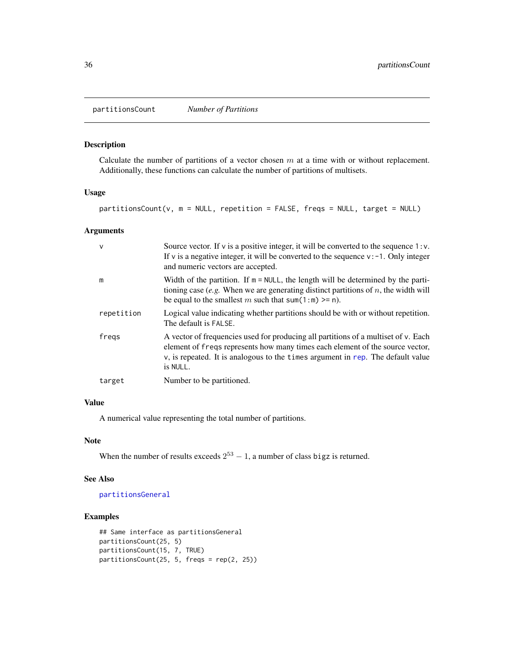<span id="page-35-0"></span>partitionsCount *Number of Partitions*

# Description

Calculate the number of partitions of a vector chosen  $m$  at a time with or without replacement. Additionally, these functions can calculate the number of partitions of multisets.

#### Usage

partitionsCount(v, m = NULL, repetition = FALSE, freqs = NULL, target = NULL)

# Arguments

| $\mathsf{v}$ | Source vector. If $v$ is a positive integer, it will be converted to the sequence 1: $v$ .<br>If v is a negative integer, it will be converted to the sequence $v: -1$ . Only integer<br>and numeric vectors are accepted.                                              |
|--------------|-------------------------------------------------------------------------------------------------------------------------------------------------------------------------------------------------------------------------------------------------------------------------|
| m            | Width of the partition. If $m = NULL$ , the length will be determined by the parti-<br>tioning case (e.g. When we are generating distinct partitions of $n$ , the width will<br>be equal to the smallest m such that sum(1:m) $>=$ n).                                  |
| repetition   | Logical value indicating whether partitions should be with or without repetition.<br>The default is FALSE.                                                                                                                                                              |
| fregs        | A vector of frequencies used for producing all partitions of a multiset of v. Each<br>element of freqs represents how many times each element of the source vector,<br>$\nu$ , is repeated. It is analogous to the times argument in rep. The default value<br>is NULL. |
| target       | Number to be partitioned.                                                                                                                                                                                                                                               |

## Value

A numerical value representing the total number of partitions.

#### Note

When the number of results exceeds  $2^{53} - 1$ , a number of class bigz is returned.

#### See Also

[partitionsGeneral](#page-36-1)

# Examples

```
## Same interface as partitionsGeneral
partitionsCount(25, 5)
partitionsCount(15, 7, TRUE)
partitionsCount(25, 5, freqs = rep(2, 25))
```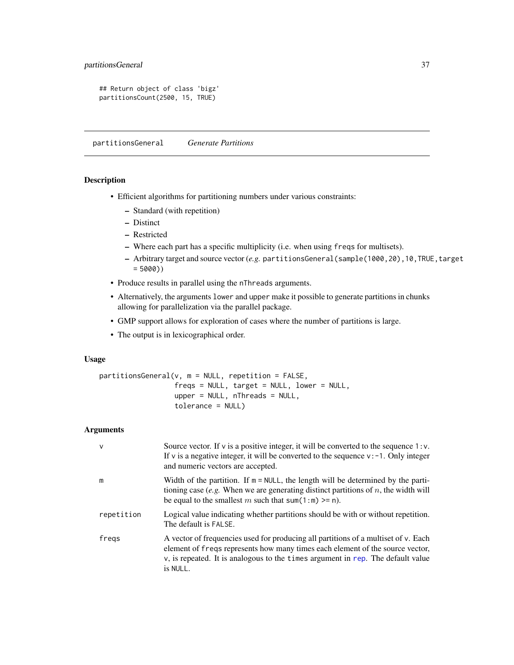```
## Return object of class 'bigz'
partitionsCount(2500, 15, TRUE)
```
<span id="page-36-1"></span>partitionsGeneral *Generate Partitions*

# Description

- Efficient algorithms for partitioning numbers under various constraints:
	- Standard (with repetition)
	- Distinct
	- Restricted
	- Where each part has a specific multiplicity (i.e. when using freqs for multisets).
	- Arbitrary target and source vector (*e.g.* partitionsGeneral(sample(1000,20),10,TRUE,target  $= 5000)$
- Produce results in parallel using the nThreads arguments.
- Alternatively, the arguments lower and upper make it possible to generate partitions in chunks allowing for parallelization via the parallel package.
- GMP support allows for exploration of cases where the number of partitions is large.
- The output is in lexicographical order.

# Usage

```
partitionsGeneral(v, m = NULL, repetition = FALSE,
                  freqs = NULL, target = NULL, lower = NULL,
                  upper = NULL, nThreads = NULL,
                  tolerance = NULL)
```
#### Arguments

| $\mathsf{v}$ | Source vector. If $v$ is a positive integer, it will be converted to the sequence 1: $v$ .<br>If v is a negative integer, it will be converted to the sequence $v: -1$ . Only integer<br>and numeric vectors are accepted.                                         |
|--------------|--------------------------------------------------------------------------------------------------------------------------------------------------------------------------------------------------------------------------------------------------------------------|
| m            | Width of the partition. If $m = NULL$ , the length will be determined by the parti-<br>tioning case (e.g. When we are generating distinct partitions of $n$ , the width will<br>be equal to the smallest m such that sum(1:m) $>=$ n).                             |
| repetition   | Logical value indicating whether partitions should be with or without repetition.<br>The default is FALSE.                                                                                                                                                         |
| fregs        | A vector of frequencies used for producing all partitions of a multiset of v. Each<br>element of freqs represents how many times each element of the source vector,<br>v, is repeated. It is analogous to the times argument in rep. The default value<br>is NULL. |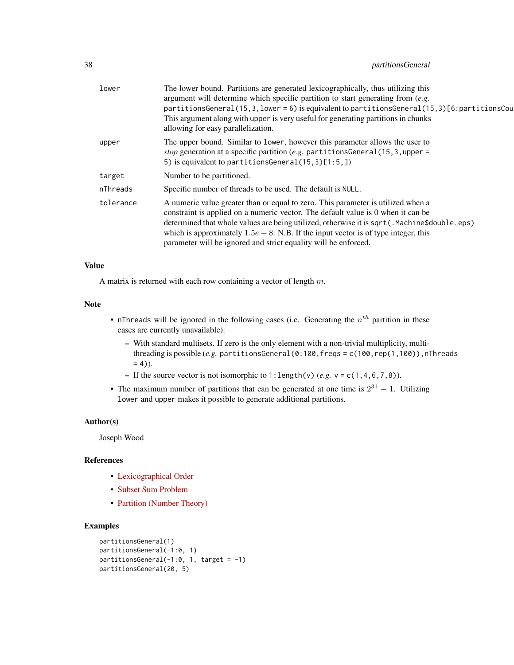| lower     | The lower bound. Partitions are generated lexicographically, thus utilizing this<br>argument will determine which specific partition to start generating from $(e.g.$                                                                                                                                                                                                                                                           |
|-----------|---------------------------------------------------------------------------------------------------------------------------------------------------------------------------------------------------------------------------------------------------------------------------------------------------------------------------------------------------------------------------------------------------------------------------------|
|           | partitionsGeneral(15,3, lower = 6) is equivalent to partitionsGeneral(15,3)[6: partitionsCou<br>This argument along with upper is very useful for generating partitions in chunks<br>allowing for easy parallelization.                                                                                                                                                                                                         |
| upper     | The upper bound. Similar to lower, however this parameter allows the user to<br>stop generation at a specific partition (e.g. partitionsGeneral $(15, 3, upper =$<br>5) is equivalent to partitions General $(15, 3)$ [1:5,])                                                                                                                                                                                                   |
| target    | Number to be partitioned.                                                                                                                                                                                                                                                                                                                                                                                                       |
| nThreads  | Specific number of threads to be used. The default is NULL.                                                                                                                                                                                                                                                                                                                                                                     |
| tolerance | A numeric value greater than or equal to zero. This parameter is utilized when a<br>constraint is applied on a numeric vector. The default value is 0 when it can be<br>determined that whole values are being utilized, otherwise it is sqrt(.Machine\$double.eps)<br>which is approximately $1.5e - 8$ . N.B. If the input vector is of type integer, this<br>parameter will be ignored and strict equality will be enforced. |
|           |                                                                                                                                                                                                                                                                                                                                                                                                                                 |

#### Value

A matrix is returned with each row containing a vector of length  $m$ .

# Note

- nThreads will be ignored in the following cases (i.e. Generating the  $n^{th}$  partition in these cases are currently unavailable):
	- With standard multisets. If zero is the only element with a non-trivial multiplicity, multithreading is possible (e.g. partitionsGeneral(0:100,freqs = c(100,rep(1,100)),nThreads  $= 4$ )).
	- If the source vector is not isomorphic to 1: length(v)  $(e.g. v = c(1, 4, 6, 7, 8))$ .
- The maximum number of partitions that can be generated at one time is  $2^{31} 1$ . Utilizing lower and upper makes it possible to generate additional partitions.

# Author(s)

Joseph Wood

# References

- [Lexicographical Order](https://en.wikipedia.org/wiki/Lexicographical_order)
- [Subset Sum Problem](https://en.wikipedia.org/wiki/Subset_sum_problem)
- [Partition \(Number Theory\)](https://en.wikipedia.org/wiki/Partition_(number_theory))

# Examples

```
partitionsGeneral(1)
partitionsGeneral(-1:0, 1)
partitionsGeneral(-1:0, 1, target = -1)
partitionsGeneral(20, 5)
```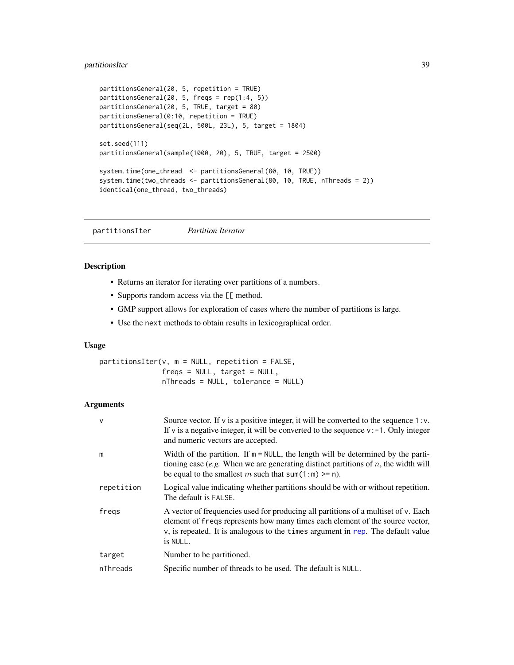# <span id="page-38-0"></span>partitionsIter 39

```
partitionsGeneral(20, 5, repetition = TRUE)
partitionsGeneral(20, 5, freqs = rep(1:4, 5))
partitionsGeneral(20, 5, TRUE, target = 80)
partitionsGeneral(0:10, repetition = TRUE)
partitionsGeneral(seq(2L, 500L, 23L), 5, target = 1804)
set.seed(111)
partitionsGeneral(sample(1000, 20), 5, TRUE, target = 2500)
system.time(one_thread <- partitionsGeneral(80, 10, TRUE))
system.time(two_threads <- partitionsGeneral(80, 10, TRUE, nThreads = 2))
identical(one_thread, two_threads)
```
partitionsIter *Partition Iterator*

# Description

- Returns an iterator for iterating over partitions of a numbers.
- Supports random access via the [[ method.
- GMP support allows for exploration of cases where the number of partitions is large.
- Use the next methods to obtain results in lexicographical order.

# Usage

partitionsIter(v, m = NULL, repetition = FALSE,  $fregs = NULL, target = NULL,$ nThreads = NULL, tolerance = NULL)

# Arguments

| $\vee$     | Source vector. If $v$ is a positive integer, it will be converted to the sequence 1: $v$ .<br>If v is a negative integer, it will be converted to the sequence $v: -1$ . Only integer<br>and numeric vectors are accepted.                                            |
|------------|-----------------------------------------------------------------------------------------------------------------------------------------------------------------------------------------------------------------------------------------------------------------------|
| m          | Width of the partition. If $m = NULL$ , the length will be determined by the parti-<br>tioning case (e.g. When we are generating distinct partitions of $n$ , the width will<br>be equal to the smallest m such that sum(1:m) $>=$ n).                                |
| repetition | Logical value indicating whether partitions should be with or without repetition.<br>The default is FALSE.                                                                                                                                                            |
| fregs      | A vector of frequencies used for producing all partitions of a multiset of v. Each<br>element of freqs represents how many times each element of the source vector,<br>$v$ , is repeated. It is analogous to the times argument in rep. The default value<br>is NULL. |
| target     | Number to be partitioned.                                                                                                                                                                                                                                             |
| nThreads   | Specific number of threads to be used. The default is NULL.                                                                                                                                                                                                           |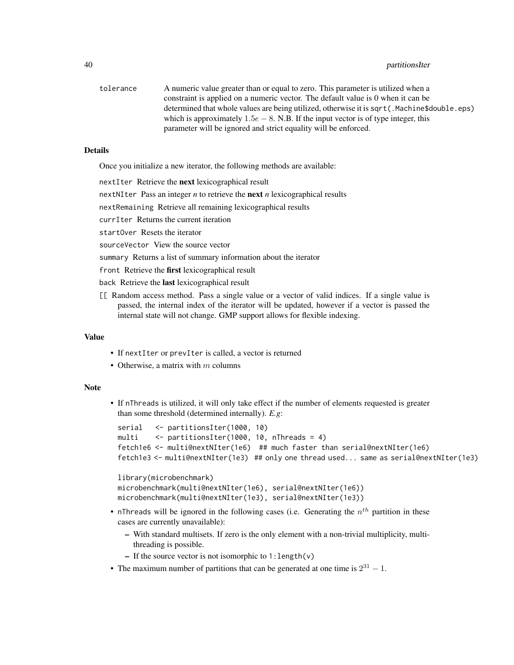# 40 partitions of the contract of the contract of the contract of the contract of the contract of the contract of the contract of the contract of the contract of the contract of the contract of the contract of the contract

tolerance A numeric value greater than or equal to zero. This parameter is utilized when a constraint is applied on a numeric vector. The default value is 0 when it can be determined that whole values are being utilized, otherwise it is sqrt(.Machine\$double.eps) which is approximately  $1.5e - 8$ . N.B. If the input vector is of type integer, this parameter will be ignored and strict equality will be enforced.

#### Details

Once you initialize a new iterator, the following methods are available:

nextIter Retrieve the next lexicographical result

nextNIter Pass an integer *n* to retrieve the next *n* lexicographical results

nextRemaining Retrieve all remaining lexicographical results

currIter Returns the current iteration

startOver Resets the iterator

sourceVector View the source vector

summary Returns a list of summary information about the iterator

front Retrieve the first lexicographical result

back Retrieve the last lexicographical result

[[ Random access method. Pass a single value or a vector of valid indices. If a single value is passed, the internal index of the iterator will be updated, however if a vector is passed the internal state will not change. GMP support allows for flexible indexing.

# Value

- If nextIter or prevIter is called, a vector is returned
- Otherwise, a matrix with  $m$  columns

#### Note

• If nThreads is utilized, it will only take effect if the number of elements requested is greater than some threshold (determined internally). *E.g*:

```
serial <- partitionsIter(1000, 10)
multi <- partitionsIter(1000, 10, nThreads = 4)
fetch1e6 <- multi@nextNIter(1e6) ## much faster than serial@nextNIter(1e6)
fetch1e3 <- multi@nextNIter(1e3) ## only one thread used... same as serial@nextNIter(1e3)
```

```
library(microbenchmark)
microbenchmark(multi@nextNIter(1e6), serial@nextNIter(1e6))
microbenchmark(multi@nextNIter(1e3), serial@nextNIter(1e3))
```
- nThreads will be ignored in the following cases (i.e. Generating the  $n^{th}$  partition in these cases are currently unavailable):
	- With standard multisets. If zero is the only element with a non-trivial multiplicity, multithreading is possible.
	- If the source vector is not isomorphic to  $1$ : length(v)
- The maximum number of partitions that can be generated at one time is  $2^{31} 1$ .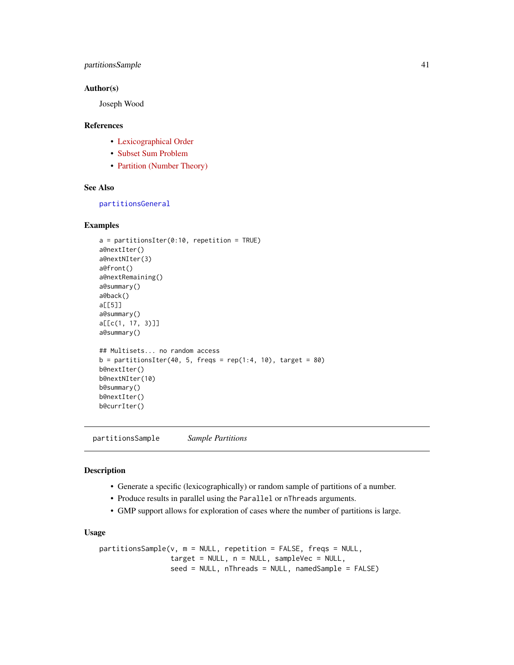# <span id="page-40-0"></span>partitionsSample 41

#### Author(s)

Joseph Wood

#### References

- [Lexicographical Order](https://en.wikipedia.org/wiki/Lexicographical_order)
- [Subset Sum Problem](https://en.wikipedia.org/wiki/Subset_sum_problem)
- [Partition \(Number Theory\)](https://en.wikipedia.org/wiki/Partition_(number_theory))

#### See Also

[partitionsGeneral](#page-36-1)

### Examples

```
a = partitionsIter(0:10, repetition = TRUE)
a@nextIter()
a@nextNIter(3)
a@front()
a@nextRemaining()
a@summary()
a@back()
a[[5]]
a@summary()
a[[c(1, 17, 3)]]
a@summary()
## Multisets... no random access
b = partitionsIter(40, 5, freqs = rep(1:4, 10), target = 80)
b@nextIter()
b@nextNIter(10)
b@summary()
b@nextIter()
b@currIter()
```
partitionsSample *Sample Partitions*

# Description

- Generate a specific (lexicographically) or random sample of partitions of a number.
- Produce results in parallel using the Parallel or nThreads arguments.
- GMP support allows for exploration of cases where the number of partitions is large.

#### Usage

```
partitionsSample(v, m = NULL, repetition = FALSE, freqs = NULL,
                target = NULL, n = NULL, sampleVec = NULL,
                seed = NULL, nThreads = NULL, namedSample = FALSE)
```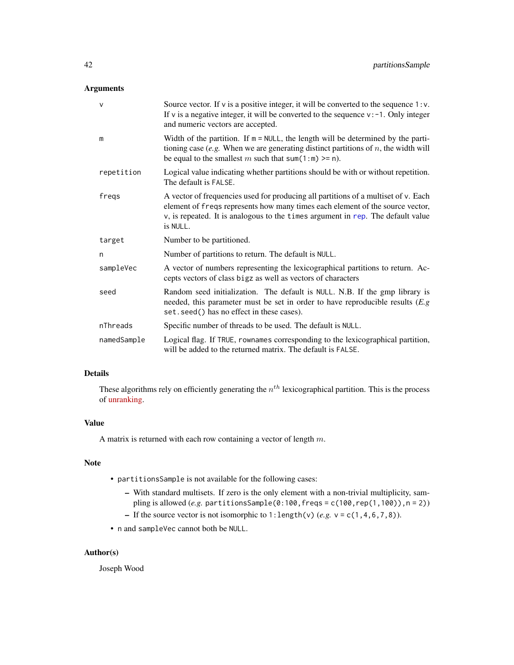# <span id="page-41-0"></span>Arguments

| $\mathsf{v}$ | Source vector. If $v$ is a positive integer, it will be converted to the sequence $1 : v$ .<br>If v is a negative integer, it will be converted to the sequence $v: -1$ . Only integer<br>and numeric vectors are accepted.                                           |
|--------------|-----------------------------------------------------------------------------------------------------------------------------------------------------------------------------------------------------------------------------------------------------------------------|
| m            | Width of the partition. If $m = NULL$ , the length will be determined by the parti-<br>tioning case (e.g. When we are generating distinct partitions of $n$ , the width will<br>be equal to the smallest m such that sum(1:m) >= n).                                  |
| repetition   | Logical value indicating whether partitions should be with or without repetition.<br>The default is FALSE.                                                                                                                                                            |
| freqs        | A vector of frequencies used for producing all partitions of a multiset of v. Each<br>element of freqs represents how many times each element of the source vector,<br>$v$ , is repeated. It is analogous to the times argument in rep. The default value<br>is NULL. |
| target       | Number to be partitioned.                                                                                                                                                                                                                                             |
| n            | Number of partitions to return. The default is NULL.                                                                                                                                                                                                                  |
| sampleVec    | A vector of numbers representing the lexicographical partitions to return. Ac-<br>cepts vectors of class bigz as well as vectors of characters                                                                                                                        |
| seed         | Random seed initialization. The default is NULL. N.B. If the gmp library is<br>needed, this parameter must be set in order to have reproducible results $(E, g)$<br>set. seed() has no effect in these cases).                                                        |
| nThreads     | Specific number of threads to be used. The default is NULL.                                                                                                                                                                                                           |
| namedSample  | Logical flag. If TRUE, rownames corresponding to the lexicographical partition,<br>will be added to the returned matrix. The default is FALSE.                                                                                                                        |

# Details

These algorithms rely on efficiently generating the  $n<sup>th</sup>$  lexicographical partition. This is the process of [unranking.](https://rosettacode.org/wiki/Permutations/Rank_of_a_permutation)

# Value

A matrix is returned with each row containing a vector of length  $m$ .

# Note

- partitionsSample is not available for the following cases:
	- With standard multisets. If zero is the only element with a non-trivial multiplicity, sampling is allowed (*e.g.* partitionsSample(0:100,freqs = c(100,rep(1,100)),n = 2))
	- If the source vector is not isomorphic to  $1$ : length(v)  $(e.g. v = c(1, 4, 6, 7, 8))$ .
- n and sampleVec cannot both be NULL.

# Author(s)

Joseph Wood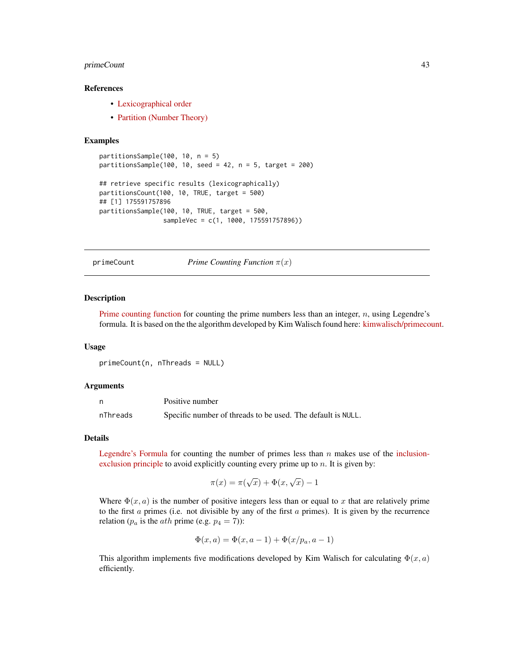# <span id="page-42-0"></span>primeCount 43

#### References

- [Lexicographical order](https://en.wikipedia.org/wiki/Lexicographical_order)
- [Partition \(Number Theory\)](https://en.wikipedia.org/wiki/Partition_(number_theory))

#### Examples

```
partitionsSample(100, 10, n = 5)
partitionsSample(100, 10, seed = 42, n = 5, target = 200)
## retrieve specific results (lexicographically)
partitionsCount(100, 10, TRUE, target = 500)
## [1] 175591757896
partitionsSample(100, 10, TRUE, target = 500,
                 sampleVec = c(1, 1000, 175591757896))
```
primeCount *Prime Counting Function* π(x)

#### Description

[Prime counting function](https://en.wikipedia.org/wiki/Prime-counting_function) for counting the prime numbers less than an integer,  $n$ , using Legendre's formula. It is based on the the algorithm developed by Kim Walisch found here: [kimwalisch/primecount.](https://github.com/kimwalisch/primecount)

#### Usage

```
primeCount(n, nThreads = NULL)
```
#### Arguments

n Positive number nThreads Specific number of threads to be used. The default is NULL.

#### Details

[Legendre's Formula](http://mathworld.wolfram.com/LegendresFormula.html) for counting the number of primes less than  $n$  makes use of the [inclusion](https://en.wikipedia.org/wiki/Inclusion-exclusion_principle)[exclusion principle](https://en.wikipedia.org/wiki/Inclusion-exclusion_principle) to avoid explicitly counting every prime up to  $n$ . It is given by:

$$
\pi(x) = \pi(\sqrt{x}) + \Phi(x, \sqrt{x}) - 1
$$

Where  $\Phi(x, a)$  is the number of positive integers less than or equal to x that are relatively prime to the first  $\alpha$  primes (i.e. not divisible by any of the first  $\alpha$  primes). It is given by the recurrence relation ( $p_a$  is the *ath* prime (e.g.  $p_4 = 7$ )):

$$
\Phi(x, a) = \Phi(x, a - 1) + \Phi(x/p_a, a - 1)
$$

This algorithm implements five modifications developed by Kim Walisch for calculating  $\Phi(x, a)$ efficiently.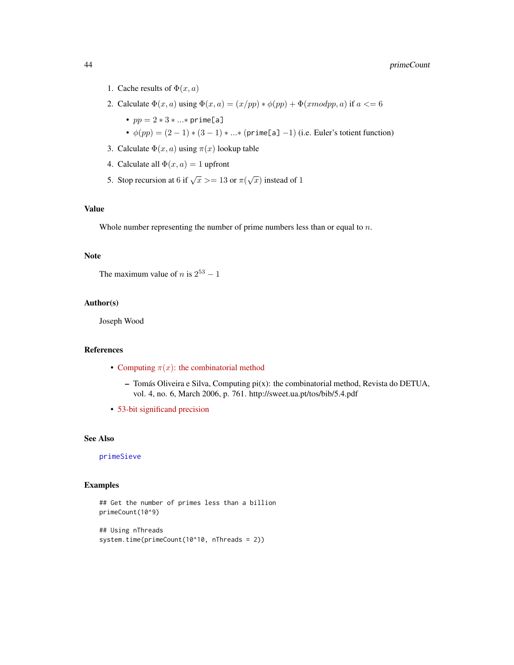- <span id="page-43-0"></span>1. Cache results of  $\Phi(x, a)$
- 2. Calculate  $\Phi(x, a)$  using  $\Phi(x, a) = (x/pp) * \phi(pp) + \Phi(xmodpp, a)$  if  $a \leq 6$ 
	- $pp = 2 * 3 * ... * prime[a]$
	- $\phi(pp) = (2-1) * (3-1) * ... * (prime[a] 1)$  (i.e. Euler's totient function)
- 3. Calculate  $\Phi(x, a)$  using  $\pi(x)$  lookup table
- 4. Calculate all  $\Phi(x, a) = 1$  upfront
- 5. Stop recursion at 6 if  $\sqrt{x}$  > = 13 or  $\pi(\sqrt{x})$  instead of 1

# Value

Whole number representing the number of prime numbers less than or equal to n.

# Note

```
The maximum value of n is 2^{53} - 1
```
# Author(s)

Joseph Wood

#### References

- Computing  $\pi(x)$ [: the combinatorial method](http://sweet.ua.pt/tos/bib/5.4.pdf)
	- $-$  Tomás Oliveira e Silva, Computing pi $(x)$ : the combinatorial method, Revista do DETUA, vol. 4, no. 6, March 2006, p. 761. http://sweet.ua.pt/tos/bib/5.4.pdf
- [53-bit significand precision](https://en.wikipedia.org/wiki/Double-precision_floating-point_format)

# See Also

[primeSieve](#page-47-1)

# Examples

```
## Get the number of primes less than a billion
primeCount(10^9)
```

```
## Using nThreads
system.time(primeCount(10^10, nThreads = 2))
```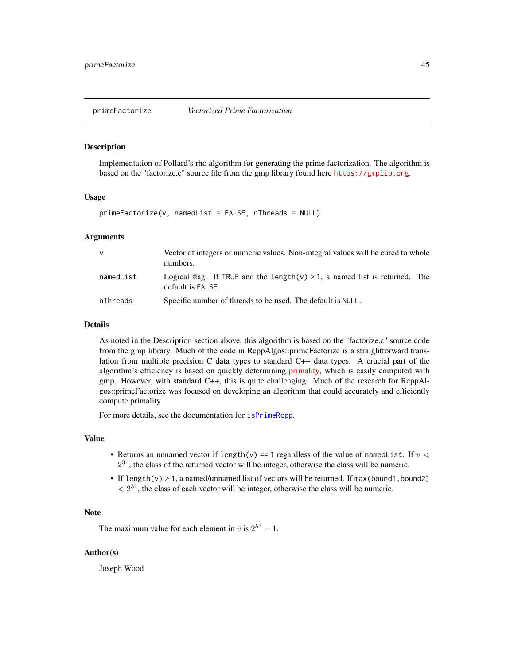<span id="page-44-1"></span><span id="page-44-0"></span>

Implementation of Pollard's rho algorithm for generating the prime factorization. The algorithm is based on the "factorize.c" source file from the gmp library found here <https://gmplib.org>.

#### Usage

```
primeFactorize(v, namedList = FALSE, nThreads = NULL)
```
#### Arguments

| v         | Vector of integers or numeric values. Non-integral values will be cured to whole<br>numbers.        |
|-----------|-----------------------------------------------------------------------------------------------------|
| namedList | Logical flag. If TRUE and the length( $v$ ) > 1, a named list is returned. The<br>default is FALSE. |
| nThreads  | Specific number of threads to be used. The default is NULL.                                         |

# Details

As noted in the Description section above, this algorithm is based on the "factorize.c" source code from the gmp library. Much of the code in RcppAlgos::primeFactorize is a straightforward translation from multiple precision C data types to standard C++ data types. A crucial part of the algorithm's efficiency is based on quickly determining [primality,](https://en.wikipedia.org/wiki/Primality_test) which is easily computed with gmp. However, with standard C++, this is quite challenging. Much of the research for RcppAlgos::primeFactorize was focused on developing an algorithm that could accurately and efficiently compute primality.

For more details, see the documentation for [isPrimeRcpp](#page-30-1).

#### Value

- Returns an unnamed vector if length(v) == 1 regardless of the value of namedList. If  $v <$  $2^{31}$ , the class of the returned vector will be integer, otherwise the class will be numeric.
- If length(v)  $> 1$ , a named/unnamed list of vectors will be returned. If max(bound1, bound2)  $\langle 2^{31}$ , the class of each vector will be integer, otherwise the class will be numeric.

# Note

The maximum value for each element in v is  $2^{53} - 1$ .

#### Author(s)

Joseph Wood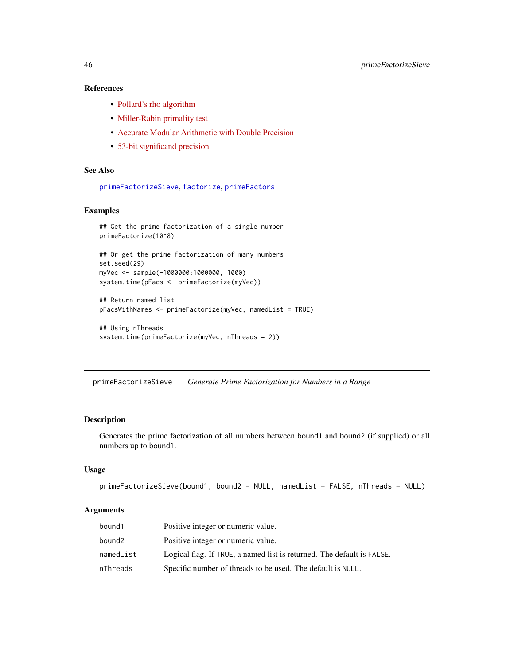# References

- [Pollard's rho algorithm](https://en.wikipedia.org/wiki/Pollard%27s_rho_algorithm)
- [Miller-Rabin primality test](https://en.wikipedia.org/wiki/Miller-Rabin_primality_test)
- [Accurate Modular Arithmetic with Double Precision](https://codereview.stackexchange.com/questions/186751/accurate-modular-arithmetic-with-double-precision)
- [53-bit significand precision](https://en.wikipedia.org/wiki/Double-precision_floating-point_format)

# See Also

```
primeFactorizeSieve, factorize, primeFactors
```
# Examples

```
## Get the prime factorization of a single number
primeFactorize(10^8)
## Or get the prime factorization of many numbers
set.seed(29)
myVec <- sample(-1000000:1000000, 1000)
system.time(pFacs <- primeFactorize(myVec))
## Return named list
```

```
pFacsWithNames <- primeFactorize(myVec, namedList = TRUE)
```

```
## Using nThreads
system.time(primeFactorize(myVec, nThreads = 2))
```
<span id="page-45-1"></span>primeFactorizeSieve *Generate Prime Factorization for Numbers in a Range*

#### Description

Generates the prime factorization of all numbers between bound1 and bound2 (if supplied) or all numbers up to bound1.

#### Usage

```
primeFactorizeSieve(bound1, bound2 = NULL, namedList = FALSE, nThreads = NULL)
```
#### **Arguments**

| bound1    | Positive integer or numeric value.                                     |
|-----------|------------------------------------------------------------------------|
| bound2    | Positive integer or numeric value.                                     |
| namedList | Logical flag. If TRUE, a named list is returned. The default is FALSE. |
| nThreads  | Specific number of threads to be used. The default is NULL.            |

<span id="page-45-0"></span>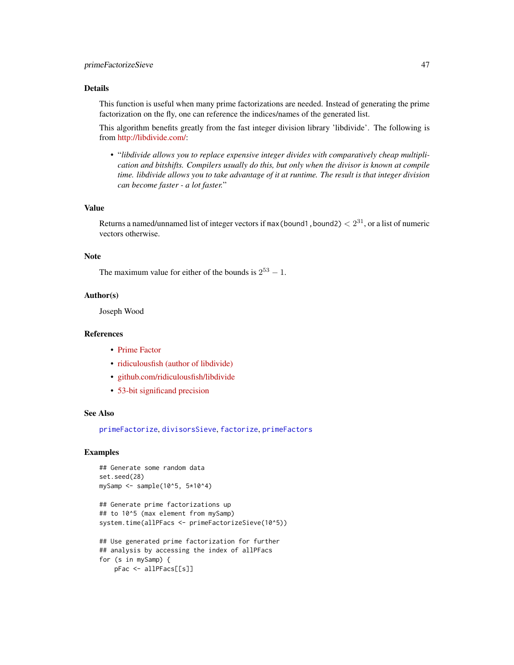# <span id="page-46-0"></span>primeFactorizeSieve 47

# Details

This function is useful when many prime factorizations are needed. Instead of generating the prime factorization on the fly, one can reference the indices/names of the generated list.

This algorithm benefits greatly from the fast integer division library 'libdivide'. The following is from [http://libdivide.com/:](http://libdivide.com/)

• "*libdivide allows you to replace expensive integer divides with comparatively cheap multiplication and bitshifts. Compilers usually do this, but only when the divisor is known at compile time. libdivide allows you to take advantage of it at runtime. The result is that integer division can become faster - a lot faster.*"

#### Value

Returns a named/unnamed list of integer vectors if max (bound1, bound2)  $< 2^{31}$ , or a list of numeric vectors otherwise.

#### Note

The maximum value for either of the bounds is  $2^{53} - 1$ .

# Author(s)

Joseph Wood

#### References

- [Prime Factor](https://en.wikipedia.org/wiki/Prime_factor)
- [ridiculousfish \(author of libdivide\)](http://ridiculousfish.com/)
- [github.com/ridiculousfish/libdivide](https://github.com/ridiculousfish/libdivide)
- [53-bit significand precision](https://en.wikipedia.org/wiki/Double-precision_floating-point_format)

# See Also

[primeFactorize](#page-44-1), [divisorsSieve](#page-27-1), [factorize](#page-0-0), [primeFactors](#page-0-0)

#### Examples

```
## Generate some random data
set.seed(28)
mySamp <- sample(10^5, 5*10^4)
## Generate prime factorizations up
## to 10^5 (max element from mySamp)
system.time(allPFacs <- primeFactorizeSieve(10^5))
## Use generated prime factorization for further
## analysis by accessing the index of allPFacs
for (s in mySamp) {
   pFac <- allPFacs[[s]]
```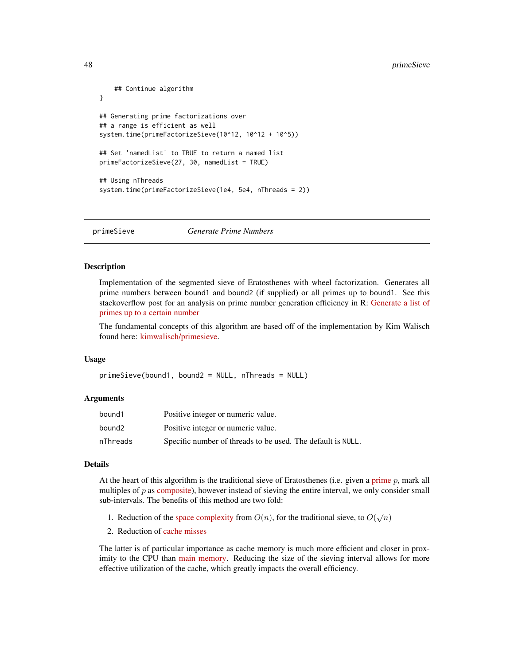```
## Continue algorithm
}
## Generating prime factorizations over
## a range is efficient as well
system.time(primeFactorizeSieve(10^12, 10^12 + 10^5))
## Set 'namedList' to TRUE to return a named list
primeFactorizeSieve(27, 30, namedList = TRUE)
## Using nThreads
system.time(primeFactorizeSieve(1e4, 5e4, nThreads = 2))
```
<span id="page-47-1"></span>primeSieve *Generate Prime Numbers*

#### **Description**

Implementation of the segmented sieve of Eratosthenes with wheel factorization. Generates all prime numbers between bound1 and bound2 (if supplied) or all primes up to bound1. See this stackoverflow post for an analysis on prime number generation efficiency in R: [Generate a list of](https://stackoverflow.com/a/48313378/4408538) [primes up to a certain number](https://stackoverflow.com/a/48313378/4408538)

The fundamental concepts of this algorithm are based off of the implementation by Kim Walisch found here: [kimwalisch/primesieve.](https://github.com/kimwalisch/primesieve)

#### Usage

```
primeSieve(bound1, bound2 = NULL, nThreads = NULL)
```
#### Arguments

| bound1   | Positive integer or numeric value.                          |
|----------|-------------------------------------------------------------|
| bound2   | Positive integer or numeric value.                          |
| nThreads | Specific number of threads to be used. The default is NULL. |

#### Details

At the heart of this algorithm is the traditional sieve of Eratosthenes (i.e. given a [prime](https://en.wikipedia.org/wiki/Prime_number) p, mark all multiples of  $p$  as [composite\)](https://en.wikipedia.org/wiki/Composite_number), however instead of sieving the entire interval, we only consider small sub-intervals. The benefits of this method are two fold:

- 1. Reduction of the [space complexity](https://en.wikipedia.org/wiki/DSPACE) from  $O(n)$ , for the traditional sieve, to  $O(\sqrt{n})$
- 2. Reduction of [cache misses](https://en.wikipedia.org/wiki/CPU_cache#Cache_miss)

The latter is of particular importance as cache memory is much more efficient and closer in proximity to the CPU than [main memory.](https://en.wikipedia.org/wiki/Computer_data_storage#Primary_storage) Reducing the size of the sieving interval allows for more effective utilization of the cache, which greatly impacts the overall efficiency.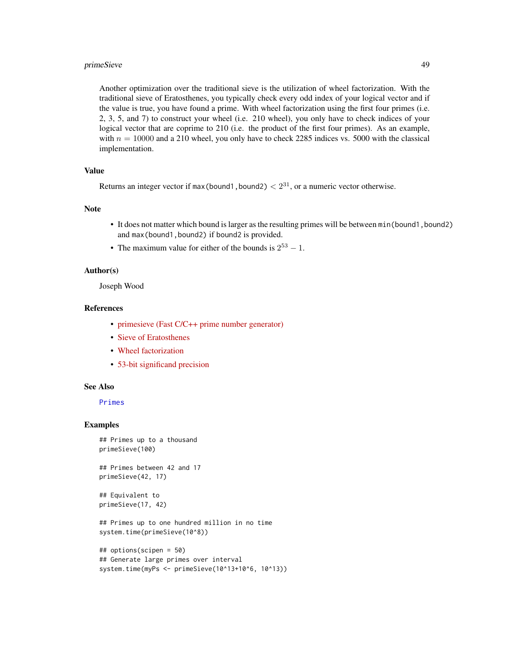# <span id="page-48-0"></span>primeSieve 49

Another optimization over the traditional sieve is the utilization of wheel factorization. With the traditional sieve of Eratosthenes, you typically check every odd index of your logical vector and if the value is true, you have found a prime. With wheel factorization using the first four primes (i.e. 2, 3, 5, and 7) to construct your wheel (i.e. 210 wheel), you only have to check indices of your logical vector that are coprime to 210 (i.e. the product of the first four primes). As an example, with  $n = 10000$  and a 210 wheel, you only have to check 2285 indices vs. 5000 with the classical implementation.

# Value

Returns an integer vector if max(bound1, bound2)  $\langle 2^{31}$ , or a numeric vector otherwise.

# Note

- It does not matter which bound is larger as the resulting primes will be between min(bound1, bound2) and max(bound1,bound2) if bound2 is provided.
- The maximum value for either of the bounds is  $2^{53} 1$ .

# Author(s)

Joseph Wood

#### References

- [primesieve \(Fast C/C++ prime number generator\)](https://github.com/kimwalisch/primesieve)
- [Sieve of Eratosthenes](https://en.wikipedia.org/wiki/Sieve_of_Eratosthenes)
- [Wheel factorization](https://en.wikipedia.org/wiki/Wheel_factorization)
- [53-bit significand precision](https://en.wikipedia.org/wiki/Double-precision_floating-point_format)

#### See Also

## [Primes](#page-0-0)

# Examples

```
## Primes up to a thousand
primeSieve(100)
```
## Primes between 42 and 17 primeSieve(42, 17)

```
## Equivalent to
primeSieve(17, 42)
```
## Primes up to one hundred million in no time system.time(primeSieve(10^8))

```
## options(scipen = 50)
## Generate large primes over interval
system.time(myPs <- primeSieve(10^13+10^6, 10^13))
```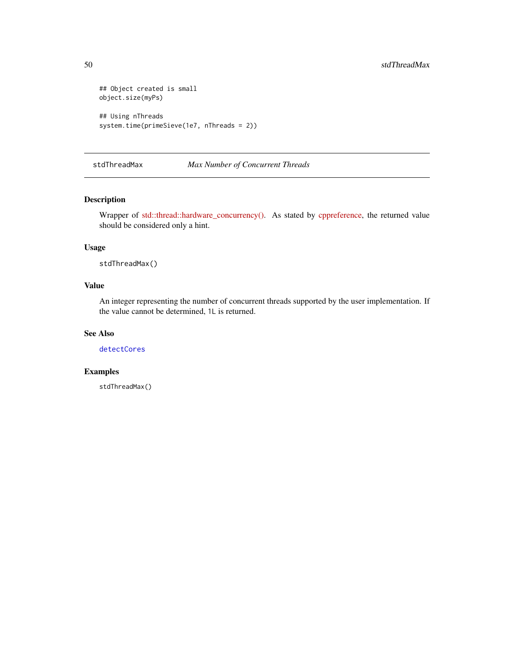```
## Object created is small
object.size(myPs)
## Using nThreads
system.time(primeSieve(1e7, nThreads = 2))
```
stdThreadMax *Max Number of Concurrent Threads*

# Description

Wrapper of [std::thread::hardware\\_concurrency\(\).](https://en.cppreference.com/w/cpp/thread/thread/hardware_concurrency) As stated by [cppreference,](https://en.cppreference.com/w/) the returned value should be considered only a hint.

#### Usage

stdThreadMax()

# Value

An integer representing the number of concurrent threads supported by the user implementation. If the value cannot be determined, 1L is returned.

# See Also

[detectCores](#page-0-0)

# Examples

stdThreadMax()

<span id="page-49-0"></span>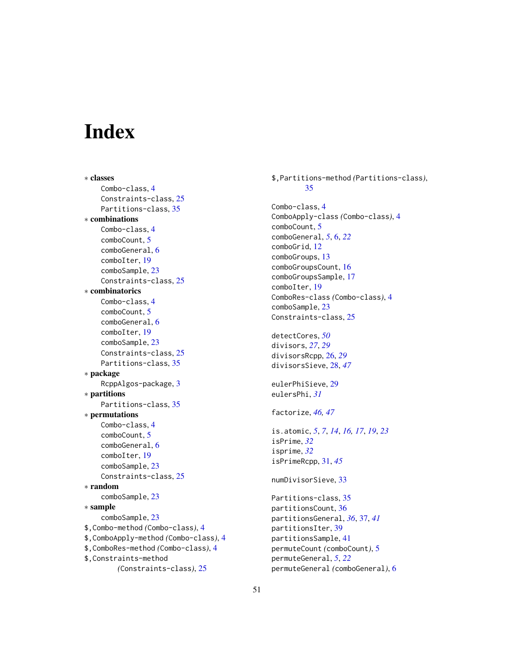# <span id="page-50-0"></span>**Index**

∗ classes Combo-class, [4](#page-3-0) Constraints-class, [25](#page-24-0) Partitions-class, [35](#page-34-0) ∗ combinations Combo-class, [4](#page-3-0) comboCount, [5](#page-4-0) comboGeneral, [6](#page-5-0) comboIter, [19](#page-18-0) comboSample, [23](#page-22-0) Constraints-class, [25](#page-24-0) ∗ combinatorics Combo-class, [4](#page-3-0) comboCount, [5](#page-4-0) comboGeneral, [6](#page-5-0) comboIter, [19](#page-18-0) comboSample, [23](#page-22-0) Constraints-class, [25](#page-24-0) Partitions-class, [35](#page-34-0) ∗ package RcppAlgos-package, [3](#page-2-0) ∗ partitions Partitions-class, [35](#page-34-0) ∗ permutations Combo-class, [4](#page-3-0) comboCount, [5](#page-4-0) comboGeneral, [6](#page-5-0) comboIter, [19](#page-18-0) comboSample, [23](#page-22-0) Constraints-class, [25](#page-24-0) ∗ random comboSample, [23](#page-22-0) ∗ sample comboSample, [23](#page-22-0) \$,Combo-method *(*Combo-class*)*, [4](#page-3-0) \$,ComboApply-method *(*Combo-class*)*, [4](#page-3-0) \$,ComboRes-method *(*Combo-class*)*, [4](#page-3-0) \$,Constraints-method *(*Constraints-class*)*, [25](#page-24-0)

\$,Partitions-method *(*Partitions-class*)*, [35](#page-34-0) Combo-class, [4](#page-3-0) ComboApply-class *(*Combo-class*)*, [4](#page-3-0) comboCount, [5](#page-4-0) comboGeneral, *[5](#page-4-0)*, [6,](#page-5-0) *[22](#page-21-0)* comboGrid, [12](#page-11-0) comboGroups, [13](#page-12-0) comboGroupsCount, [16](#page-15-0) comboGroupsSample, [17](#page-16-0) comboIter, [19](#page-18-0) ComboRes-class *(*Combo-class*)*, [4](#page-3-0) comboSample, [23](#page-22-0) Constraints-class, [25](#page-24-0) detectCores, *[50](#page-49-0)* divisors, *[27](#page-26-0)*, *[29](#page-28-0)* divisorsRcpp, [26,](#page-25-0) *[29](#page-28-0)* divisorsSieve, [28,](#page-27-0) *[47](#page-46-0)* eulerPhiSieve, [29](#page-28-0) eulersPhi, *[31](#page-30-0)* factorize, *[46,](#page-45-0) [47](#page-46-0)* is.atomic, *[5](#page-4-0)*, *[7](#page-6-0)*, *[14](#page-13-0)*, *[16,](#page-15-0) [17](#page-16-0)*, *[19](#page-18-0)*, *[23](#page-22-0)* isPrime, *[32](#page-31-0)* isprime, *[32](#page-31-0)* isPrimeRcpp, [31,](#page-30-0) *[45](#page-44-0)* numDivisorSieve, [33](#page-32-0) Partitions-class, [35](#page-34-0) partitionsCount, [36](#page-35-0) partitionsGeneral, *[36](#page-35-0)*, [37,](#page-36-0) *[41](#page-40-0)* partitionsIter, [39](#page-38-0) partitionsSample, [41](#page-40-0) permuteCount *(*comboCount*)*, [5](#page-4-0) permuteGeneral, *[5](#page-4-0)*, *[22](#page-21-0)* permuteGeneral *(*comboGeneral*)*, [6](#page-5-0)